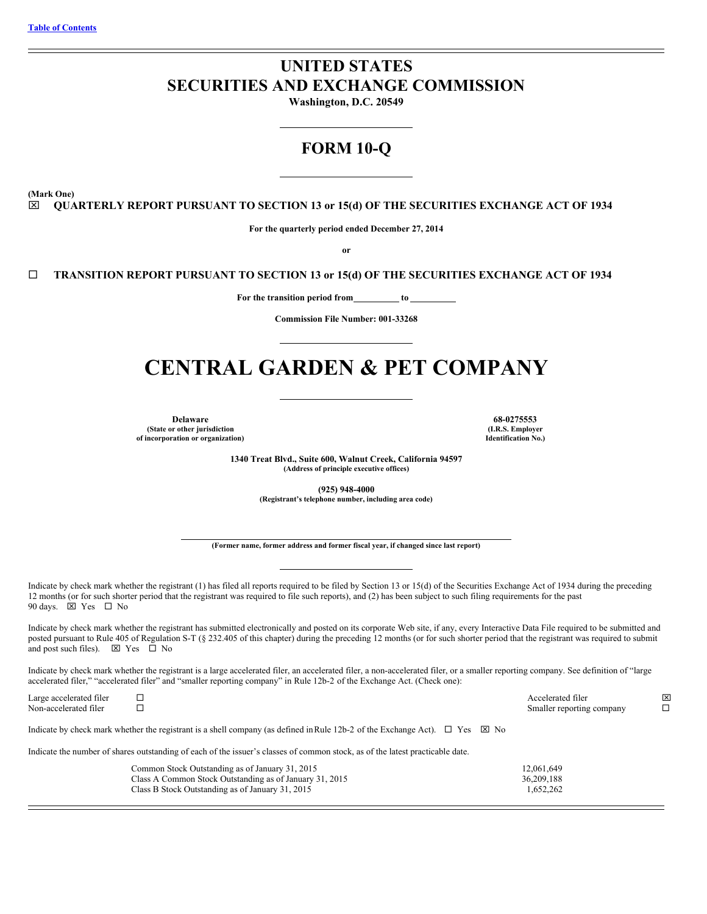### **UNITED STATES SECURITIES AND EXCHANGE COMMISSION**

**Washington, D.C. 20549**

### **FORM 10-Q**

**(Mark One)**

x **QUARTERLY REPORT PURSUANT TO SECTION 13 or 15(d) OF THE SECURITIES EXCHANGE ACT OF 1934**

**For the quarterly period ended December 27, 2014**

**or**

¨ **TRANSITION REPORT PURSUANT TO SECTION 13 or 15(d) OF THE SECURITIES EXCHANGE ACT OF 1934**

**For the transition period from to**

**Commission File Number: 001-33268**

## **CENTRAL GARDEN & PET COMPANY**

**Delaware 68-0275553 (State or other jurisdiction of incorporation or organization)**

**(I.R.S. Employer Identification No.)**

**1340 Treat Blvd., Suite 600, Walnut Creek, California 94597 (Address of principle executive offices)**

> **(925) 948-4000 (Registrant's telephone number, including area code)**

**(Former name, former address and former fiscal year, if changed since last report)**

Indicate by check mark whether the registrant (1) has filed all reports required to be filed by Section 13 or 15(d) of the Securities Exchange Act of 1934 during the preceding 12 months (or for such shorter period that the registrant was required to file such reports), and (2) has been subject to such filing requirements for the past 90 days.  $\overline{\boxtimes}$  Yes  $\Box$  No

Indicate by check mark whether the registrant has submitted electronically and posted on its corporate Web site, if any, every Interactive Data File required to be submitted and posted pursuant to Rule 405 of Regulation S-T (§ 232.405 of this chapter) during the preceding 12 months (or for such shorter period that the registrant was required to submit and post such files).  $\boxtimes$  Yes  $\Box$  No

Indicate by check mark whether the registrant is a large accelerated filer, an accelerated filer, a non-accelerated filer, or a smaller reporting company. See definition of "large accelerated filer," "accelerated filer" and "smaller reporting company" in Rule 12b-2 of the Exchange Act. (Check one):

| Large accelerated filer | –                                                                                                                                           | Accelerated filer         | × |
|-------------------------|---------------------------------------------------------------------------------------------------------------------------------------------|---------------------------|---|
| Non-accelerated filer   |                                                                                                                                             | Smaller reporting company | □ |
|                         | Indicate by check mark whether the registrant is a shell company (as defined in Rule 12b-2 of the Exchange Act). $\square$ Yes $\square$ No |                           |   |
|                         | Indicate the number of shares outstanding of each of the issuer's classes of common stock, as of the latest practicable date.               |                           |   |
|                         | Common Stock Outstanding as of January 31, 2015                                                                                             | 12.061.649                |   |
|                         | Class A Common Stock Outstanding as of January 31, 2015                                                                                     | 36,209,188                |   |
|                         | Class B Stock Outstanding as of January 31, 2015                                                                                            | 1,652,262                 |   |
|                         |                                                                                                                                             |                           |   |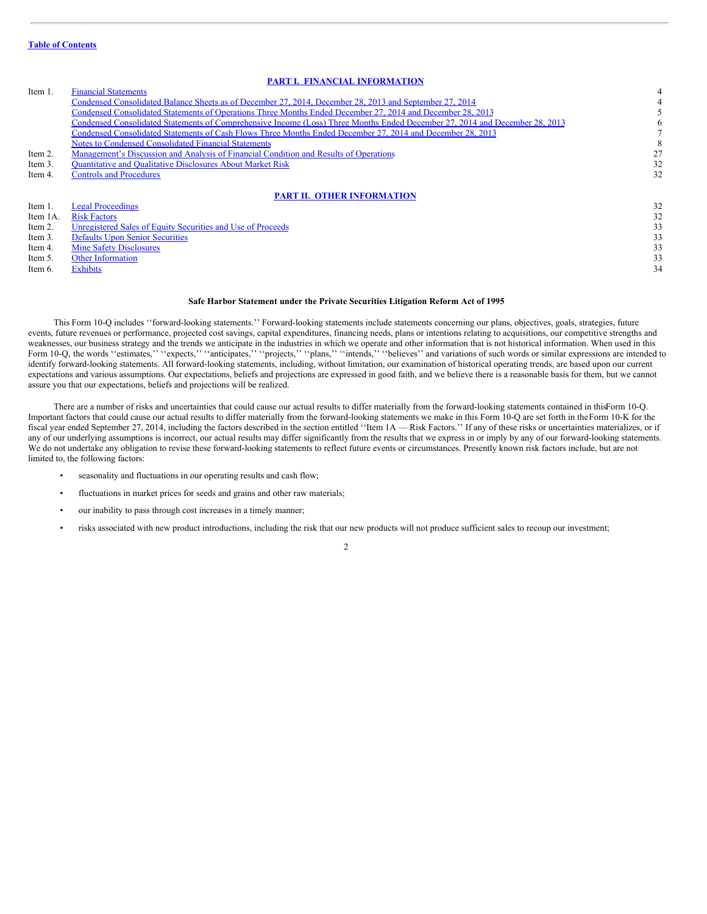#### <span id="page-1-0"></span>**PART I. FINANCIAL [INFORMATION](#page-3-0)**

| Item 1.  | <b>Financial Statements</b>                                                                                                 |    |
|----------|-----------------------------------------------------------------------------------------------------------------------------|----|
|          | Condensed Consolidated Balance Sheets as of December 27, 2014, December 28, 2013 and September 27, 2014                     |    |
|          | Condensed Consolidated Statements of Operations Three Months Ended December 27, 2014 and December 28, 2013                  |    |
|          | Condensed Consolidated Statements of Comprehensive Income (Loss) Three Months Ended December 27, 2014 and December 28, 2013 |    |
|          | Condensed Consolidated Statements of Cash Flows Three Months Ended December 27, 2014 and December 28, 2013                  |    |
|          | <b>Notes to Condensed Consolidated Financial Statements</b>                                                                 | 8  |
| Item 2.  | Management's Discussion and Analysis of Financial Condition and Results of Operations                                       | 27 |
| Item 3.  | <b>Quantitative and Qualitative Disclosures About Market Risk</b>                                                           | 32 |
| Item 4.  | <b>Controls and Procedures</b>                                                                                              | 32 |
|          | <b>PART II. OTHER INFORMATION</b>                                                                                           |    |
| Item 1.  | <b>Legal Proceedings</b>                                                                                                    | 32 |
| Item 1A. | <b>Risk Factors</b>                                                                                                         | 32 |
| Item 2.  | Unregistered Sales of Equity Securities and Use of Proceeds                                                                 | 33 |
| Item 3.  | <b>Defaults Upon Senior Securities</b>                                                                                      | 33 |
| Item 4.  | <b>Mine Safety Disclosures</b>                                                                                              | 33 |
| Item 5.  | <b>Other Information</b>                                                                                                    | 33 |
| Item 6.  | <b>Exhibits</b>                                                                                                             | 34 |
|          |                                                                                                                             |    |

#### **Safe Harbor Statement under the Private Securities Litigation Reform Act of 1995**

This Form 10-Q includes ''forward-looking statements.'' Forward-looking statements include statements concerning our plans, objectives, goals, strategies, future events, future revenues or performance, projected cost savings, capital expenditures, financing needs, plans or intentions relating to acquisitions, our competitive strengths and weaknesses, our business strategy and the trends we anticipate in the industries in which we operate and other information that is not historical information. When used in this Form 10-Q, the words "estimates," "expects," "anticipates," "projects," "plans," "intends," "believes" and variations of such words or similar expressions are intended to identify forward-looking statements. All forward-looking statements, including, without limitation, our examination of historical operating trends, are based upon our current expectations and various assumptions. Our expectations, beliefs and projections are expressed in good faith, and we believe there is a reasonable basis for them, but we cannot assure you that our expectations, beliefs and projections will be realized.

There are a number of risks and uncertainties that could cause our actual results to differ materially from the forward-looking statements contained in thisForm 10-Q. Important factors that could cause our actual results to differ materially from the forward-looking statements we make in this Form 10-Q are set forth in theForm 10-K for the fiscal year ended September 27, 2014, including the factors described in the section entitled "Item 1A — Risk Factors." If any of these risks or uncertainties materializes, or if any of our underlying assumptions is incorrect, our actual results may differ significantly from the results that we express in or imply by any of our forward-looking statements. We do not undertake any obligation to revise these forward-looking statements to reflect future events or circumstances. Presently known risk factors include, but are not limited to, the following factors:

- seasonality and fluctuations in our operating results and cash flow;
- fluctuations in market prices for seeds and grains and other raw materials;
- our inability to pass through cost increases in a timely manner;
- risks associated with new product introductions, including the risk that our new products will not produce sufficient sales to recoup our investment;

#### $\mathcal{D}$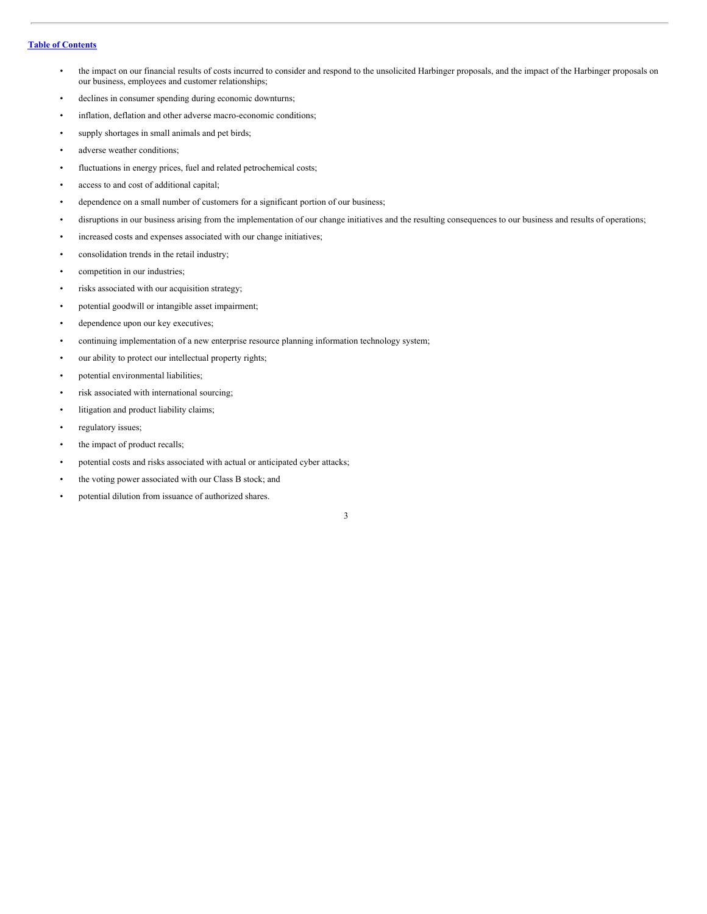- the impact on our financial results of costs incurred to consider and respond to the unsolicited Harbinger proposals, and the impact of the Harbinger proposals on our business, employees and customer relationships;
- declines in consumer spending during economic downturns;
- inflation, deflation and other adverse macro-economic conditions;
- supply shortages in small animals and pet birds;
- adverse weather conditions;
- fluctuations in energy prices, fuel and related petrochemical costs;
- access to and cost of additional capital;
- dependence on a small number of customers for a significant portion of our business;
- disruptions in our business arising from the implementation of our change initiatives and the resulting consequences to our business and results of operations;
- increased costs and expenses associated with our change initiatives;
- consolidation trends in the retail industry;
- competition in our industries;
- risks associated with our acquisition strategy;
- potential goodwill or intangible asset impairment;
- dependence upon our key executives;
- continuing implementation of a new enterprise resource planning information technology system;
- our ability to protect our intellectual property rights;
- potential environmental liabilities;
- risk associated with international sourcing;
- litigation and product liability claims;
- regulatory issues;
- the impact of product recalls;
- potential costs and risks associated with actual or anticipated cyber attacks;
- the voting power associated with our Class B stock; and
- potential dilution from issuance of authorized shares.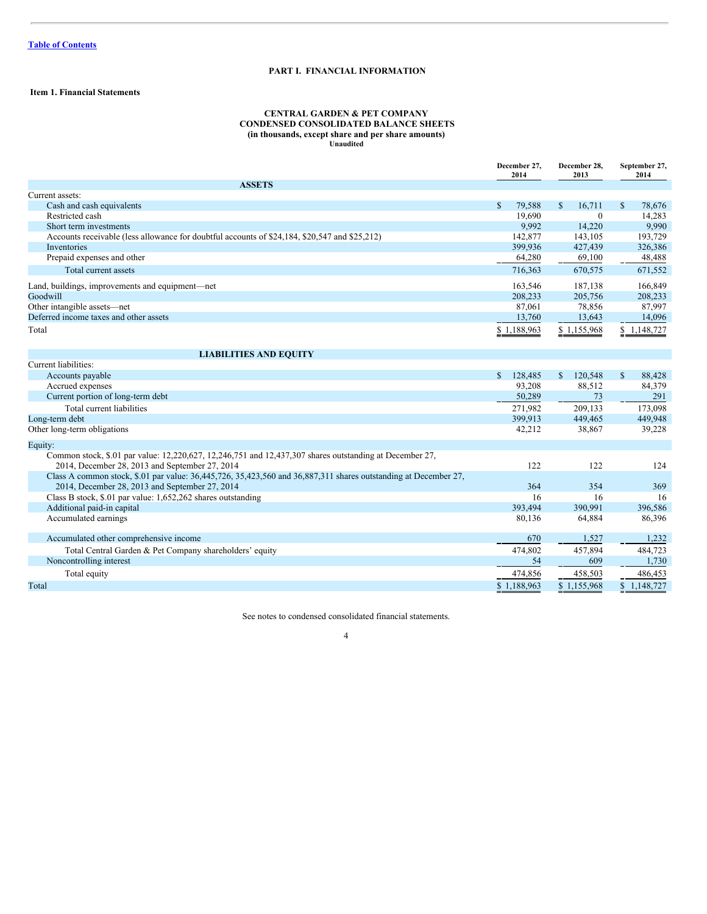#### <span id="page-3-0"></span>**PART I. FINANCIAL INFORMATION**

#### <span id="page-3-1"></span>**Item 1. Financial Statements**

#### <span id="page-3-2"></span>**CENTRAL GARDEN & PET COMPANY CONDENSED CONSOLIDATED BALANCE SHEETS (in thousands, except share and per share amounts) Unaudited**

|                                                                                                                 | December 27,<br>2014 | December 28,<br>2013    | September 27,<br>2014  |
|-----------------------------------------------------------------------------------------------------------------|----------------------|-------------------------|------------------------|
| <b>ASSETS</b>                                                                                                   |                      |                         |                        |
| Current assets:                                                                                                 |                      |                         |                        |
| Cash and cash equivalents                                                                                       | 79,588<br>S          | \$<br>16,711            | $\mathbb{S}$<br>78,676 |
| Restricted cash                                                                                                 | 19,690               | $\Omega$                | 14,283                 |
| Short term investments                                                                                          | 9,992                | 14,220                  | 9,990                  |
| Accounts receivable (less allowance for doubtful accounts of \$24,184, \$20,547 and \$25,212)                   | 142,877              | 143,105                 | 193,729                |
| Inventories                                                                                                     | 399,936              | 427,439                 | 326,386                |
| Prepaid expenses and other                                                                                      | 64,280               | 69,100                  | 48,488                 |
| Total current assets                                                                                            | 716,363              | 670,575                 | 671,552                |
| Land, buildings, improvements and equipment—net                                                                 | 163,546              | 187,138                 | 166,849                |
| Goodwill                                                                                                        | 208,233              | 205,756                 | 208,233                |
| Other intangible assets-net                                                                                     | 87,061               | 78,856                  | 87,997                 |
| Deferred income taxes and other assets                                                                          | 13,760               | 13,643                  | 14,096                 |
| Total                                                                                                           | \$1,188,963          | \$1,155,968             | \$1,148,727            |
| <b>LIABILITIES AND EQUITY</b>                                                                                   |                      |                         |                        |
| Current liabilities:                                                                                            |                      |                         |                        |
| Accounts payable                                                                                                | 128,485<br>S         | 120,548<br>$\mathbb{S}$ | $\mathbf S$<br>88,428  |
| Accrued expenses                                                                                                | 93,208               | 88,512                  | 84,379                 |
| Current portion of long-term debt                                                                               | 50,289               | 73                      | 291                    |
| Total current liabilities                                                                                       | 271,982              | 209,133                 | 173,098                |
| Long-term debt                                                                                                  | 399,913              | 449,465                 | 449,948                |
| Other long-term obligations                                                                                     | 42,212               | 38,867                  | 39,228                 |
| Equity:                                                                                                         |                      |                         |                        |
| Common stock, \$.01 par value: 12,220,627, 12,246,751 and 12,437,307 shares outstanding at December 27,         |                      |                         |                        |
| 2014, December 28, 2013 and September 27, 2014                                                                  | 122                  | 122                     | 124                    |
| Class A common stock, \$.01 par value: 36,445,726, 35,423,560 and 36,887,311 shares outstanding at December 27, |                      |                         |                        |
| 2014, December 28, 2013 and September 27, 2014                                                                  | 364                  | 354                     | 369                    |
| Class B stock, \$.01 par value: 1,652,262 shares outstanding                                                    | 16                   | 16                      | 16                     |
| Additional paid-in capital                                                                                      | 393,494              | 390,991                 | 396,586                |
| Accumulated earnings                                                                                            | 80,136               | 64,884                  | 86,396                 |
| Accumulated other comprehensive income                                                                          | 670                  | 1,527                   | 1,232                  |
| Total Central Garden & Pet Company shareholders' equity                                                         | 474,802              | 457,894                 | 484,723                |
| Noncontrolling interest                                                                                         | 54                   | 609                     | 1,730                  |
| Total equity                                                                                                    | 474,856              | 458,503                 | 486,453                |
| Total                                                                                                           | \$1,188,963          | \$1.155,968             | \$1.148,727            |

See notes to condensed consolidated financial statements.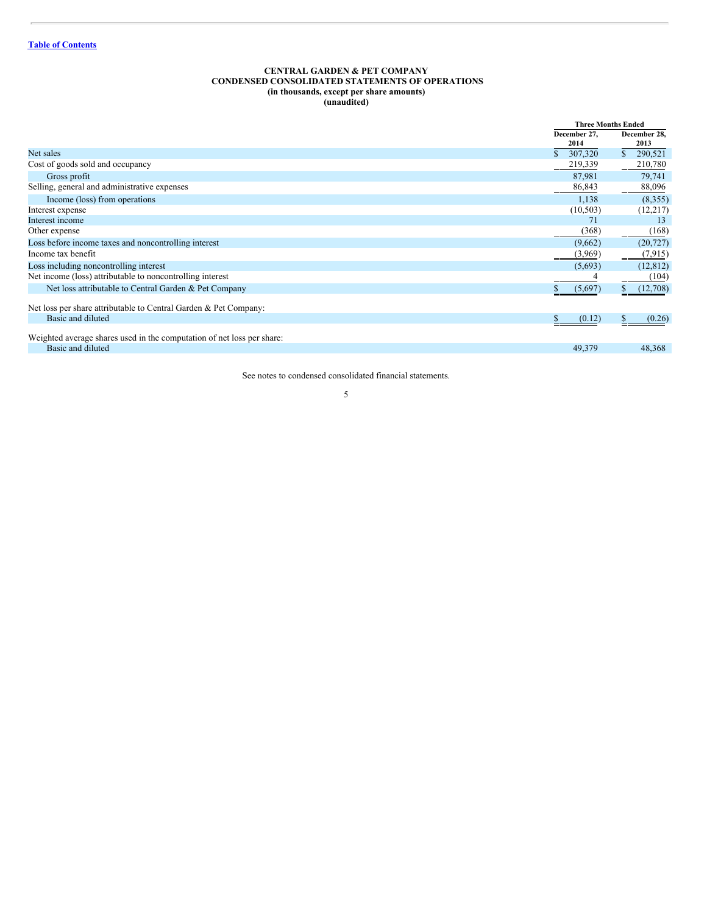#### <span id="page-4-0"></span>**CENTRAL GARDEN & PET COMPANY CONDENSED CONSOLIDATED STATEMENTS OF OPERATIONS (in thousands, except per share amounts) (unaudited)**

|                                                                        |                      | <b>Three Months Ended</b> |
|------------------------------------------------------------------------|----------------------|---------------------------|
|                                                                        | December 27,<br>2014 | December 28,<br>2013      |
| Net sales                                                              | S<br>307,320         | 290,521<br>S.             |
| Cost of goods sold and occupancy                                       | 219,339              | 210,780                   |
| Gross profit                                                           | 87,981               | 79,741                    |
| Selling, general and administrative expenses                           | 86,843               | 88,096                    |
| Income (loss) from operations                                          | 1,138                | (8,355)                   |
| Interest expense                                                       | (10, 503)            | (12,217)                  |
| Interest income                                                        | 71                   | 13                        |
| Other expense                                                          | (368)                | (168)                     |
| Loss before income taxes and noncontrolling interest                   | (9,662)              | (20, 727)                 |
| Income tax benefit                                                     | (3,969)              | (7, 915)                  |
| Loss including noncontrolling interest                                 | (5,693)              | (12, 812)                 |
| Net income (loss) attributable to noncontrolling interest              |                      | (104)                     |
| Net loss attributable to Central Garden & Pet Company                  | (5,697)              | (12,708)                  |
| Net loss per share attributable to Central Garden & Pet Company:       |                      |                           |
| Basic and diluted                                                      | (0.12)               | (0.26)                    |
| Weighted average shares used in the computation of net loss per share: |                      |                           |
| Basic and diluted                                                      | 49,379               | 48,368                    |

See notes to condensed consolidated financial statements.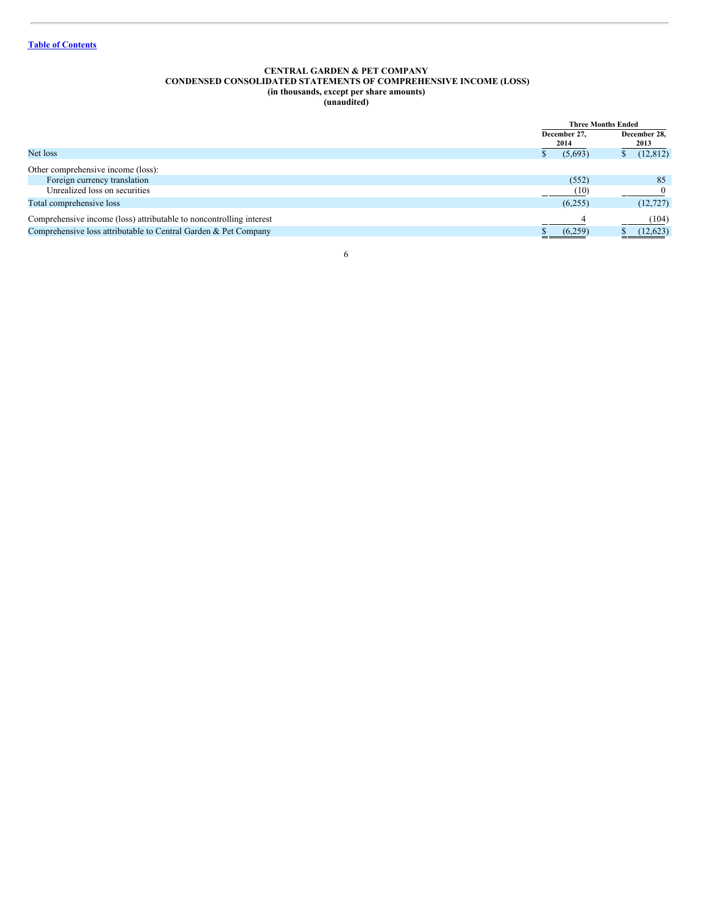#### <span id="page-5-0"></span>**CENTRAL GARDEN & PET COMPANY CONDENSED CONSOLIDATED STATEMENTS OF COMPREHENSIVE INCOME (LOSS) (in thousands, except per share amounts) (unaudited)**

|                                                                     | <b>Three Months Ended</b> |                      |  |                      |
|---------------------------------------------------------------------|---------------------------|----------------------|--|----------------------|
|                                                                     |                           | December 27,<br>2014 |  | December 28,<br>2013 |
| Net loss                                                            |                           | (5,693)              |  | (12, 812)            |
| Other comprehensive income (loss):                                  |                           |                      |  |                      |
| Foreign currency translation                                        |                           | (552)                |  | 85                   |
| Unrealized loss on securities                                       |                           | (10)                 |  |                      |
| Total comprehensive loss                                            |                           | (6,255)              |  | (12, 727)            |
| Comprehensive income (loss) attributable to noncontrolling interest |                           |                      |  | (104)                |
| Comprehensive loss attributable to Central Garden & Pet Company     |                           | (6.259)              |  | (12, 623)            |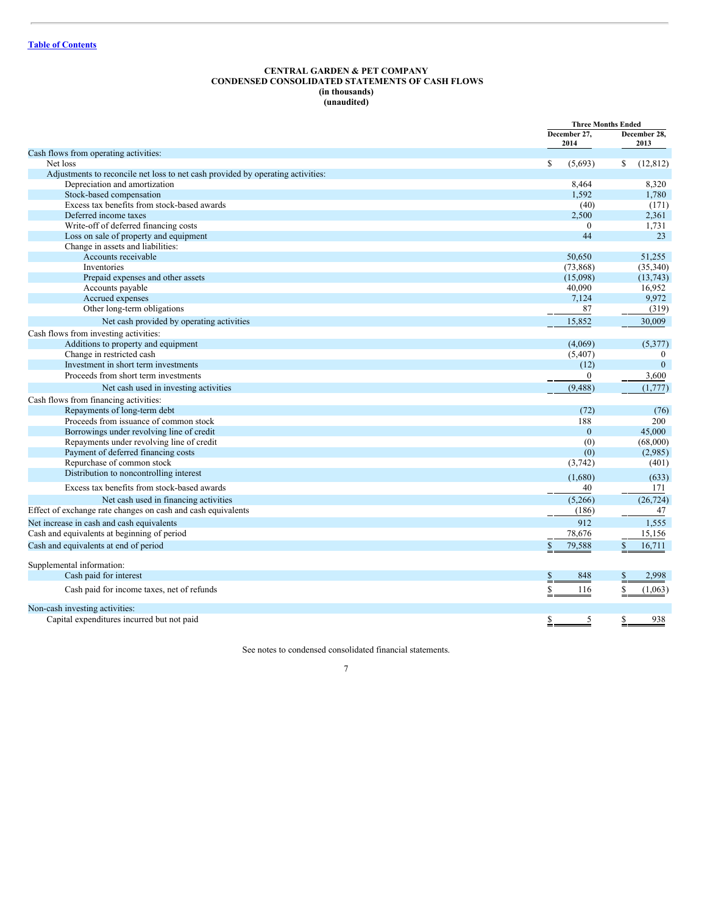#### <span id="page-6-0"></span>**CENTRAL GARDEN & PET COMPANY CONDENSED CONSOLIDATED STATEMENTS OF CASH FLOWS (in thousands) (unaudited)**

|                                                                                 | <b>Three Months Ended</b> |                 |
|---------------------------------------------------------------------------------|---------------------------|-----------------|
|                                                                                 | December 27,              | December 28,    |
|                                                                                 | 2014                      | 2013            |
| Cash flows from operating activities:<br>Net loss                               | S<br>(5,693)              | \$<br>(12, 812) |
| Adjustments to reconcile net loss to net cash provided by operating activities: |                           |                 |
| Depreciation and amortization                                                   | 8,464                     | 8,320           |
| Stock-based compensation                                                        | 1,592                     | 1,780           |
| Excess tax benefits from stock-based awards                                     | (40)                      | (171)           |
| Deferred income taxes                                                           | 2,500                     | 2,361           |
| Write-off of deferred financing costs                                           | $\theta$                  | 1,731           |
| Loss on sale of property and equipment                                          | 44                        | 23              |
| Change in assets and liabilities:                                               |                           |                 |
| Accounts receivable                                                             | 50,650                    | 51,255          |
| Inventories                                                                     | (73, 868)                 | (35,340)        |
| Prepaid expenses and other assets                                               | (15,098)                  | (13, 743)       |
| Accounts payable                                                                | 40,090                    | 16,952          |
| Accrued expenses                                                                | 7,124                     | 9,972           |
| Other long-term obligations                                                     | 87                        | (319)           |
| Net cash provided by operating activities                                       | 15,852                    | 30,009          |
| Cash flows from investing activities:                                           |                           |                 |
| Additions to property and equipment                                             | (4,069)                   | (5,377)         |
| Change in restricted cash                                                       | (5,407)                   | $\mathbf{0}$    |
| Investment in short term investments                                            | (12)                      | $\mathbf{0}$    |
| Proceeds from short term investments                                            | $\bf{0}$                  | 3,600           |
| Net cash used in investing activities                                           | (9, 488)                  | (1,777)         |
| Cash flows from financing activities:                                           |                           |                 |
| Repayments of long-term debt                                                    | (72)                      | (76)            |
| Proceeds from issuance of common stock                                          | 188                       | 200             |
| Borrowings under revolving line of credit                                       | $\overline{0}$            | 45,000          |
| Repayments under revolving line of credit                                       | (0)                       | (68,000)        |
| Payment of deferred financing costs                                             | (0)                       | (2,985)         |
| Repurchase of common stock                                                      | (3,742)                   | (401)           |
| Distribution to noncontrolling interest                                         | (1,680)                   | (633)           |
| Excess tax benefits from stock-based awards                                     | 40                        | 171             |
| Net cash used in financing activities                                           | (5,266)                   | (26, 724)       |
| Effect of exchange rate changes on cash and cash equivalents                    | (186)                     | 47              |
| Net increase in cash and cash equivalents                                       | 912                       | 1,555           |
| Cash and equivalents at beginning of period                                     | 78,676                    | 15,156          |
| Cash and equivalents at end of period                                           | 79,588<br>\$              | 16,711<br>\$    |
|                                                                                 |                           |                 |
| Supplemental information:                                                       |                           |                 |
| Cash paid for interest                                                          | 848                       | 2,998           |
| Cash paid for income taxes, net of refunds                                      | 116<br>S                  | (1,063)         |
| Non-cash investing activities:                                                  |                           |                 |
| Capital expenditures incurred but not paid                                      | \$<br>5                   | \$<br>938       |

See notes to condensed consolidated financial statements.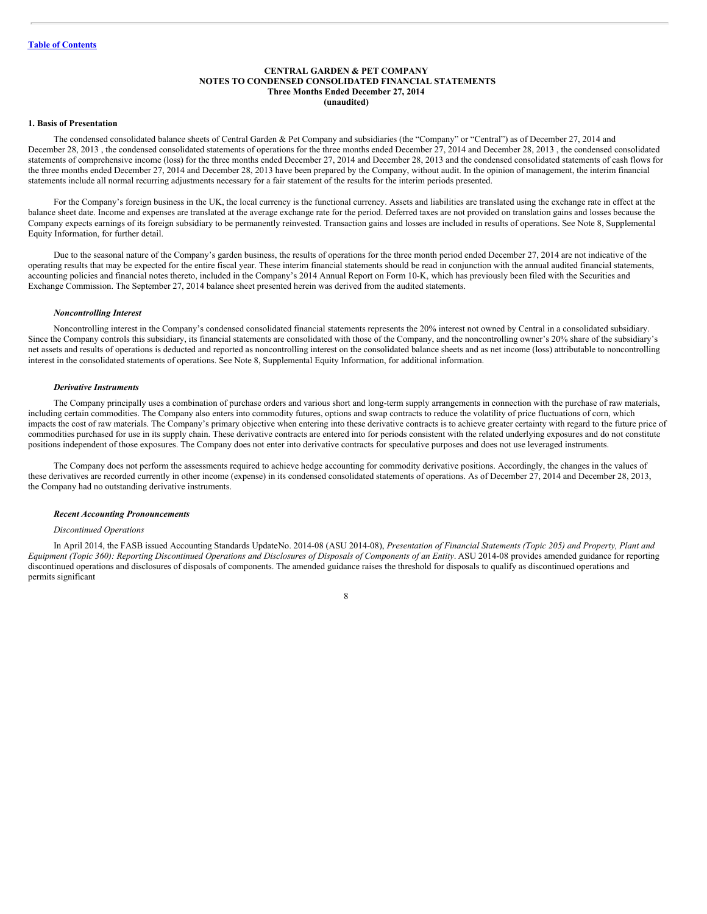#### <span id="page-7-0"></span>**CENTRAL GARDEN & PET COMPANY NOTES TO CONDENSED CONSOLIDATED FINANCIAL STATEMENTS Three Months Ended December 27, 2014 (unaudited)**

#### **1. Basis of Presentation**

The condensed consolidated balance sheets of Central Garden & Pet Company and subsidiaries (the "Company" or "Central") as of December 27, 2014 and December 28, 2013 , the condensed consolidated statements of operations for the three months ended December 27, 2014 and December 28, 2013 , the condensed consolidated statements of comprehensive income (loss) for the three months ended December 27, 2014 and December 28, 2013 and the condensed consolidated statements of cash flows for the three months ended December 27, 2014 and December 28, 2013 have been prepared by the Company, without audit. In the opinion of management, the interim financial statements include all normal recurring adjustments necessary for a fair statement of the results for the interim periods presented.

For the Company's foreign business in the UK, the local currency is the functional currency. Assets and liabilities are translated using the exchange rate in effect at the balance sheet date. Income and expenses are translated at the average exchange rate for the period. Deferred taxes are not provided on translation gains and losses because the Company expects earnings of its foreign subsidiary to be permanently reinvested. Transaction gains and losses are included in results of operations. See Note 8, Supplemental Equity Information, for further detail.

Due to the seasonal nature of the Company's garden business, the results of operations for the three month period ended December 27, 2014 are not indicative of the operating results that may be expected for the entire fiscal year. These interim financial statements should be read in conjunction with the annual audited financial statements, accounting policies and financial notes thereto, included in the Company's 2014 Annual Report on Form 10-K, which has previously been filed with the Securities and Exchange Commission. The September 27, 2014 balance sheet presented herein was derived from the audited statements.

#### *Noncontrolling Interest*

Noncontrolling interest in the Company's condensed consolidated financial statements represents the 20% interest not owned by Central in a consolidated subsidiary. Since the Company controls this subsidiary, its financial statements are consolidated with those of the Company, and the noncontrolling owner's 20% share of the subsidiary's net assets and results of operations is deducted and reported as noncontrolling interest on the consolidated balance sheets and as net income (loss) attributable to noncontrolling interest in the consolidated statements of operations. See Note 8, Supplemental Equity Information, for additional information.

#### *Derivative Instruments*

The Company principally uses a combination of purchase orders and various short and long-term supply arrangements in connection with the purchase of raw materials, including certain commodities. The Company also enters into commodity futures, options and swap contracts to reduce the volatility of price fluctuations of corn, which impacts the cost of raw materials. The Company's primary objective when entering into these derivative contracts is to achieve greater certainty with regard to the future price of commodities purchased for use in its supply chain. These derivative contracts are entered into for periods consistent with the related underlying exposures and do not constitute positions independent of those exposures. The Company does not enter into derivative contracts for speculative purposes and does not use leveraged instruments.

The Company does not perform the assessments required to achieve hedge accounting for commodity derivative positions. Accordingly, the changes in the values of these derivatives are recorded currently in other income (expense) in its condensed consolidated statements of operations. As of December 27, 2014 and December 28, 2013, the Company had no outstanding derivative instruments.

#### *Recent Accounting Pronouncements*

#### *Discontinued Operations*

In April 2014, the FASB issued Accounting Standards UpdateNo. 2014-08 (ASU 2014-08), Presentation of Financial Statements (Topic 205) and Property, Plant and Equipment (Topic 360): Reporting Discontinued Operations and Disclosures of Disposals of Components of an Entity. ASU 2014-08 provides amended guidance for reporting discontinued operations and disclosures of disposals of components. The amended guidance raises the threshold for disposals to qualify as discontinued operations and permits significant

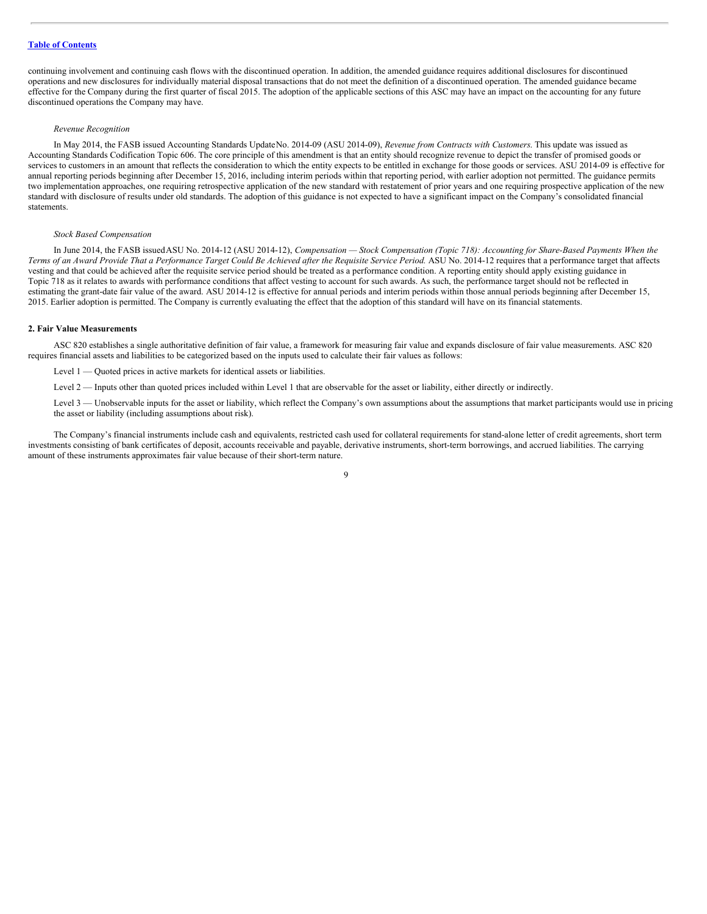continuing involvement and continuing cash flows with the discontinued operation. In addition, the amended guidance requires additional disclosures for discontinued operations and new disclosures for individually material disposal transactions that do not meet the definition of a discontinued operation. The amended guidance became effective for the Company during the first quarter of fiscal 2015. The adoption of the applicable sections of this ASC may have an impact on the accounting for any future discontinued operations the Company may have.

#### *Revenue Recognition*

In May 2014, the FASB issued Accounting Standards UpdateNo. 2014-09 (ASU 2014-09), *Revenue from Contracts with Customers*. This update was issued as Accounting Standards Codification Topic 606. The core principle of this amendment is that an entity should recognize revenue to depict the transfer of promised goods or services to customers in an amount that reflects the consideration to which the entity expects to be entitled in exchange for those goods or services. ASU 2014-09 is effective for annual reporting periods beginning after December 15, 2016, including interim periods within that reporting period, with earlier adoption not permitted. The guidance permits two implementation approaches, one requiring retrospective application of the new standard with restatement of prior years and one requiring prospective application of the new standard with disclosure of results under old standards. The adoption of this guidance is not expected to have a significant impact on the Company's consolidated financial statements.

#### *Stock Based Compensation*

In June 2014, the FASB issued ASU No. 2014-12 (ASU 2014-12), Compensation - Stock Compensation (Topic 718): Accounting for Share-Based Payments When the Terms of an Award Provide That a Performance Target Could Be Achieved after the Requisite Service Period. ASU No. 2014-12 requires that a performance target that affects vesting and that could be achieved after the requisite service period should be treated as a performance condition. A reporting entity should apply existing guidance in Topic 718 as it relates to awards with performance conditions that affect vesting to account for such awards. As such, the performance target should not be reflected in estimating the grant-date fair value of the award. ASU 2014-12 is effective for annual periods and interim periods within those annual periods beginning after December 15, 2015. Earlier adoption is permitted. The Company is currently evaluating the effect that the adoption of this standard will have on its financial statements.

#### **2. Fair Value Measurements**

ASC 820 establishes a single authoritative definition of fair value, a framework for measuring fair value and expands disclosure of fair value measurements. ASC 820 requires financial assets and liabilities to be categorized based on the inputs used to calculate their fair values as follows:

Level 1 — Quoted prices in active markets for identical assets or liabilities.

Level 2 — Inputs other than quoted prices included within Level 1 that are observable for the asset or liability, either directly or indirectly.

Level 3 — Unobservable inputs for the asset or liability, which reflect the Company's own assumptions about the assumptions that market participants would use in pricing the asset or liability (including assumptions about risk).

The Company's financial instruments include cash and equivalents, restricted cash used for collateral requirements for stand-alone letter of credit agreements, short term investments consisting of bank certificates of deposit, accounts receivable and payable, derivative instruments, short-term borrowings, and accrued liabilities. The carrying amount of these instruments approximates fair value because of their short-term nature.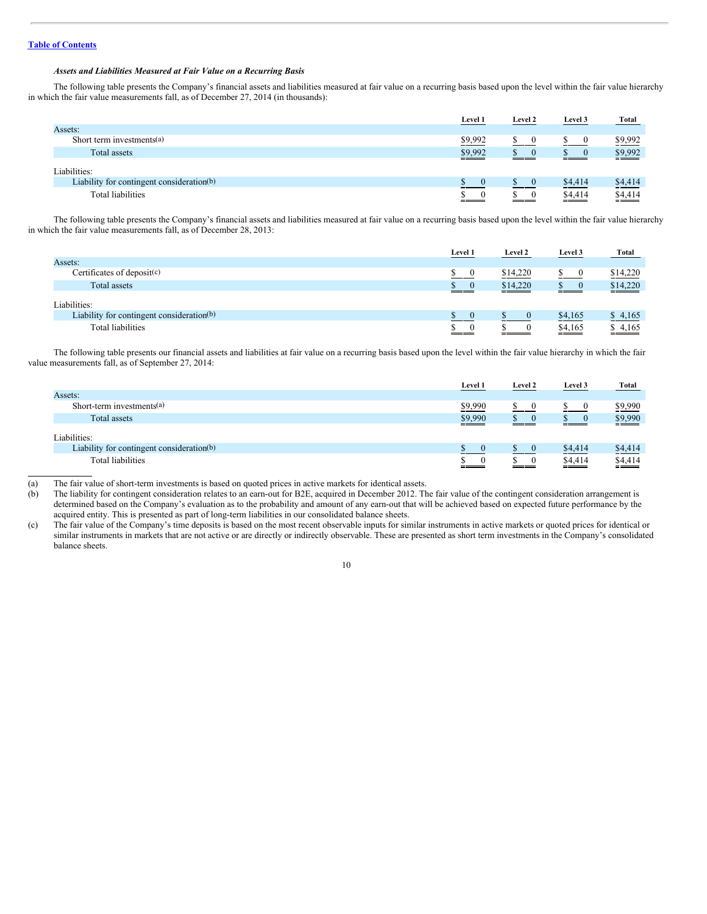#### *Assets and Liabilities Measured at Fair Value on a Recurring Basis*

The following table presents the Company's financial assets and liabilities measured at fair value on a recurring basis based upon the level within the fair value hierarchy in which the fair value measurements fall, as of December 27, 2014 (in thousands):

|                                           | Level 1 | Level 2 | Level 3 | <b>Total</b> |
|-------------------------------------------|---------|---------|---------|--------------|
| Assets:                                   |         |         |         |              |
| Short term investments $(a)$              | \$9,992 |         |         | \$9,992      |
| Total assets                              | \$9,992 | ۰D.     |         | \$9,992      |
|                                           |         |         |         |              |
| Liabilities:                              |         |         |         |              |
| Liability for contingent consideration(b) |         |         | \$4,414 | \$4,414      |
| Total liabilities                         |         |         | \$4,414 | \$4,414      |

The following table presents the Company's financial assets and liabilities measured at fair value on a recurring basis based upon the level within the fair value hierarchy in which the fair value measurements fall, as of December 28, 2013:

|                                           | Level 1        | Level 2          | Level 3         | <b>Total</b> |
|-------------------------------------------|----------------|------------------|-----------------|--------------|
| Assets:                                   |                |                  |                 |              |
| Certificates of deposit $(c)$             |                | \$14,220         |                 | \$14,220     |
| Total assets                              | $\mathbf{0}$   | \$14,220         | \$<br>$\theta$  | \$14,220     |
| Liabilities:                              |                |                  |                 |              |
| Liability for contingent consideration(b) | $\overline{0}$ | $\theta$         | \$4,165         | \$4,165      |
| <b>Total liabilities</b>                  | $\Omega$<br>__ | $\theta$<br>____ | \$4,165<br>==== | \$4,165      |

The following table presents our financial assets and liabilities at fair value on a recurring basis based upon the level within the fair value hierarchy in which the fair value measurements fall, as of September 27, 2014:

|                                           | Level 1 | Level 2 | Level 3 | <b>Total</b>    |
|-------------------------------------------|---------|---------|---------|-----------------|
| Assets:                                   |         |         |         |                 |
| Short-term investments $(a)$              | \$9,990 |         |         | \$9,990         |
| Total assets                              | \$9,990 |         |         | \$9,990         |
| Liabilities:                              |         |         |         |                 |
| Liability for contingent consideration(b) |         |         | \$4,414 | \$4,414         |
| <b>Total liabilities</b>                  |         |         | \$4,414 | \$4,414<br>____ |

(a) The fair value of short-term investments is based on quoted prices in active markets for identical assets.<br>(b) The liability for contingent consideration relates to an earn-out for B2E, acquired in December 2012. The The liability for contingent consideration relates to an earn-out for B2E, acquired in December 2012. The fair value of the contingent consideration arrangement is determined based on the Company's evaluation as to the probability and amount of any earn-out that will be achieved based on expected future performance by the acquired entity. This is presented as part of long-term liabilities in our consolidated balance sheets.

(c) The fair value of the Company's time deposits is based on the most recent observable inputs for similar instruments in active markets or quoted prices for identical or similar instruments in markets that are not active or are directly or indirectly observable. These are presented as short term investments in the Company's consolidated balance sheets.

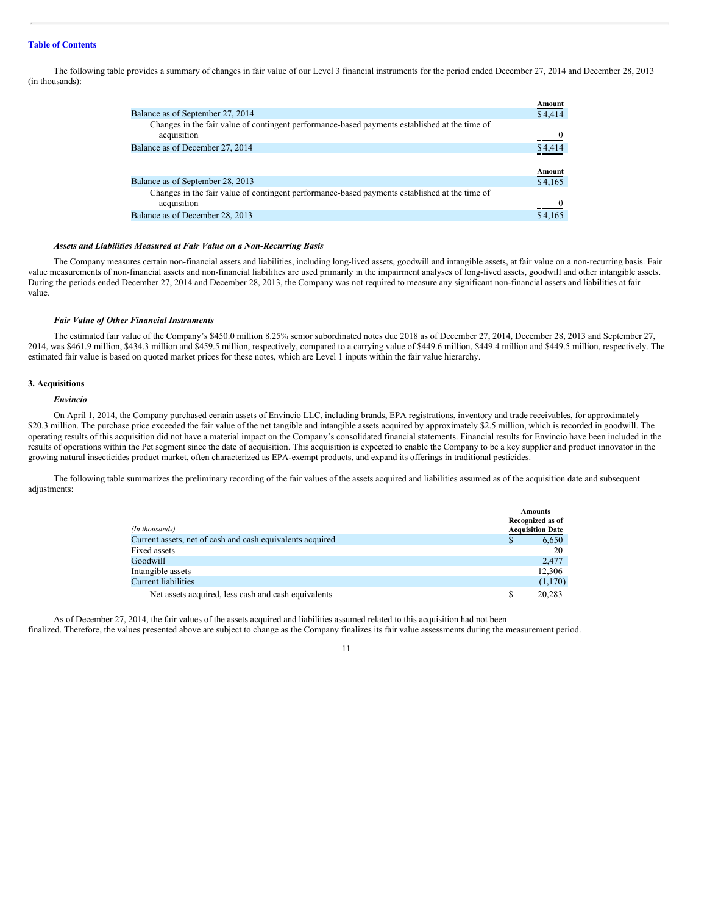The following table provides a summary of changes in fair value of our Level 3 financial instruments for the period ended December 27, 2014 and December 28, 2013 (in thousands):

|                                                                                                              | Amount  |
|--------------------------------------------------------------------------------------------------------------|---------|
| Balance as of September 27, 2014                                                                             | \$4,414 |
| Changes in the fair value of contingent performance-based payments established at the time of<br>acquisition |         |
| Balance as of December 27, 2014                                                                              | \$4,414 |
|                                                                                                              | Amount  |
| Balance as of September 28, 2013                                                                             | \$4,165 |
| Changes in the fair value of contingent performance-based payments established at the time of<br>acquisition |         |
| Balance as of December 28, 2013                                                                              | \$4,165 |

#### *Assets and Liabilities Measured at Fair Value on a Non-Recurring Basis*

The Company measures certain non-financial assets and liabilities, including long-lived assets, goodwill and intangible assets, at fair value on a non-recurring basis. Fair value measurements of non-financial assets and non-financial liabilities are used primarily in the impairment analyses of long-lived assets, goodwill and other intangible assets. During the periods ended December 27, 2014 and December 28, 2013, the Company was not required to measure any significant non-financial assets and liabilities at fair value.

#### *Fair Value of Other Financial Instruments*

The estimated fair value of the Company's \$450.0 million 8.25% senior subordinated notes due 2018 as of December 27, 2014, December 28, 2013 and September 27, 2014, was \$461.9 million, \$434.3 million and \$459.5 million, respectively, compared to a carrying value of \$449.6 million, \$449.4 million and \$449.5 million, respectively. The estimated fair value is based on quoted market prices for these notes, which are Level 1 inputs within the fair value hierarchy.

#### **3. Acquisitions**

#### *Envincio*

On April 1, 2014, the Company purchased certain assets of Envincio LLC, including brands, EPA registrations, inventory and trade receivables, for approximately \$20.3 million. The purchase price exceeded the fair value of the net tangible and intangible assets acquired by approximately \$2.5 million, which is recorded in goodwill. The operating results of this acquisition did not have a material impact on the Company's consolidated financial statements. Financial results for Envincio have been included in the results of operations within the Pet segment since the date of acquisition. This acquisition is expected to enable the Company to be a key supplier and product innovator in the growing natural insecticides product market, often characterized as EPA-exempt products, and expand its offerings in traditional pesticides.

The following table summarizes the preliminary recording of the fair values of the assets acquired and liabilities assumed as of the acquisition date and subsequent adjustments:

|                                                           | <b>Amounts</b>          |
|-----------------------------------------------------------|-------------------------|
|                                                           | Recognized as of        |
| (In thousands)                                            | <b>Acquisition Date</b> |
| Current assets, net of cash and cash equivalents acquired | 6.650                   |
| Fixed assets                                              | 20                      |
| Goodwill                                                  | 2.477                   |
| Intangible assets                                         | 12,306                  |
| Current liabilities                                       | (1,170)                 |
| Net assets acquired, less cash and cash equivalents       | 20,283                  |

As of December 27, 2014, the fair values of the assets acquired and liabilities assumed related to this acquisition had not been finalized. Therefore, the values presented above are subject to change as the Company finalizes its fair value assessments during the measurement period.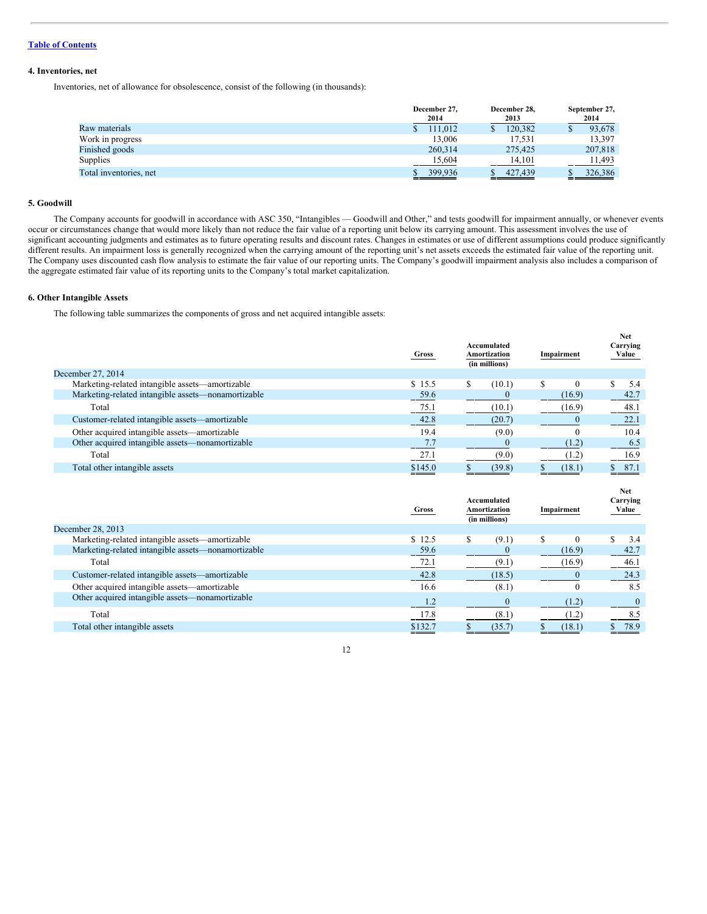#### **4. Inventories, net**

Inventories, net of allowance for obsolescence, consist of the following (in thousands):

|                        | December 27,<br>2014 | December 28,<br>2013 | September 27,<br>2014 |
|------------------------|----------------------|----------------------|-----------------------|
| Raw materials          | 111.012              | 120.382              | 93,678                |
| Work in progress       | 13,006               | 17.531               | 13,397                |
| Finished goods         | 260.314              | 275.425              | 207,818               |
| Supplies               | 15,604               | 14,101               | 11,493                |
| Total inventories, net | 399,936              | 427,439              | 326,386               |

#### **5. Goodwill**

The Company accounts for goodwill in accordance with ASC 350, "Intangibles — Goodwill and Other," and tests goodwill for impairment annually, or whenever events occur or circumstances change that would more likely than not reduce the fair value of a reporting unit below its carrying amount. This assessment involves the use of significant accounting judgments and estimates as to future operating results and discount rates. Changes in estimates or use of different assumptions could produce significantly different results. An impairment loss is generally recognized when the carrying amount of the reporting unit's net assets exceeds the estimated fair value of the reporting unit. The Company uses discounted cash flow analysis to estimate the fair value of our reporting units. The Company's goodwill impairment analysis also includes a comparison of the aggregate estimated fair value of its reporting units to the Company's total market capitalization.

#### **6. Other Intangible Assets**

The following table summarizes the components of gross and net acquired intangible assets:

|                                                    | Gross   | Accumulated<br>Amortization<br>(in millions) |          | Carrying<br>Value |
|----------------------------------------------------|---------|----------------------------------------------|----------|-------------------|
| December 27, 2014                                  |         |                                              |          |                   |
| Marketing-related intangible assets—amortizable    | \$15.5  | S<br>(10.1)                                  |          | 5.4               |
| Marketing-related intangible assets—nonamortizable | 59.6    |                                              | (16.9)   | 42.7              |
| Total                                              | 75.1    | (10.1)                                       | (16.9)   | 48.1              |
| Customer-related intangible assets—amortizable     | 42.8    | (20.7)                                       |          | 22.1              |
| Other acquired intangible assets—amortizable       | 19.4    | (9.0)                                        | $\theta$ | 10.4              |
| Other acquired intangible assets—nonamortizable    | 7.7     |                                              | (1.2)    | 6.5               |
| Total                                              | 27.1    | (9.0)                                        | (1.2)    | 16.9              |
| Total other intangible assets                      | \$145.0 | (39.8)<br>ъ                                  | (18.1)   | 87.1              |

**Net**

|                                                    | Gross   | Accumulated<br>Amortization<br>(in millions) | Impairment | <b>Net</b><br>Carrying<br>Value |
|----------------------------------------------------|---------|----------------------------------------------|------------|---------------------------------|
| December 28, 2013                                  |         |                                              |            |                                 |
| Marketing-related intangible assets—amortizable    | \$12.5  | (9.1)<br>S                                   |            | 3.4                             |
| Marketing-related intangible assets—nonamortizable | 59.6    |                                              | (16.9)     | 42.7                            |
| Total                                              | 72.1    | (9.1)                                        | (16.9)     | 46.1                            |
| Customer-related intangible assets—amortizable     | 42.8    | (18.5)                                       |            | 24.3                            |
| Other acquired intangible assets—amortizable       | 16.6    | (8.1)                                        | $\theta$   | 8.5                             |
| Other acquired intangible assets—nonamortizable    |         |                                              | (1.2)      |                                 |
| Total                                              | 17.8    | (8.1)                                        | (1.2)      | 8.5                             |
| Total other intangible assets                      | \$132.7 | (35.7)                                       | (18.1)     | 78.9                            |
|                                                    |         |                                              |            |                                 |

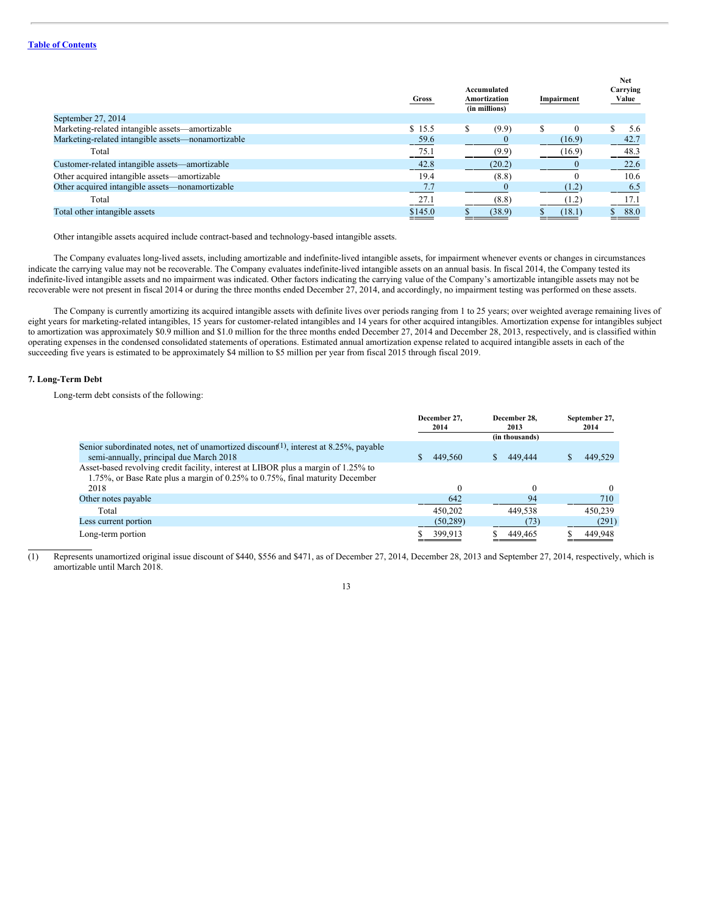|                                                    | Gross   | Accumulated<br>Amortization<br>(in millions) | Impairment | <b>Net</b><br>Carrying<br>Value |
|----------------------------------------------------|---------|----------------------------------------------|------------|---------------------------------|
| September 27, 2014                                 |         |                                              |            |                                 |
| Marketing-related intangible assets-amortizable    | \$15.5  | S<br>(9.9)                                   |            | 5.6                             |
| Marketing-related intangible assets-nonamortizable | 59.6    |                                              | (16.9)     | 42.7                            |
| Total                                              | 75.1    | (9.9)                                        | (16.9)     | 48.3                            |
| Customer-related intangible assets—amortizable     | 42.8    | (20.2)                                       |            | 22.6                            |
| Other acquired intangible assets—amortizable       | 19.4    | (8.8)                                        |            | 10.6                            |
| Other acquired intangible assets—nonamortizable    | 7.7     |                                              | (1.2)      | 6.5                             |
| Total                                              | 27.1    | (8.8)                                        | (1.2)      | 17.1                            |
| Total other intangible assets                      | \$145.0 | (38.9)                                       | (18.1)     | 88.0<br>==                      |
|                                                    |         |                                              |            |                                 |

Other intangible assets acquired include contract-based and technology-based intangible assets.

The Company evaluates long-lived assets, including amortizable and indefinite-lived intangible assets, for impairment whenever events or changes in circumstances indicate the carrying value may not be recoverable. The Company evaluates indefinite-lived intangible assets on an annual basis. In fiscal 2014, the Company tested its indefinite-lived intangible assets and no impairment was indicated. Other factors indicating the carrying value of the Company's amortizable intangible assets may not be recoverable were not present in fiscal 2014 or during the three months ended December 27, 2014, and accordingly, no impairment testing was performed on these assets.

The Company is currently amortizing its acquired intangible assets with definite lives over periods ranging from 1 to 25 years; over weighted average remaining lives of eight years for marketing-related intangibles, 15 years for customer-related intangibles and 14 years for other acquired intangibles. Amortization expense for intangibles subject to amortization was approximately \$0.9 million and \$1.0 million for the three months ended December 27, 2014 and December 28, 2013, respectively, and is classified within operating expenses in the condensed consolidated statements of operations. Estimated annual amortization expense related to acquired intangible assets in each of the succeeding five years is estimated to be approximately \$4 million to \$5 million per year from fiscal 2015 through fiscal 2019.

#### **7. Long-Term Debt**

Long-term debt consists of the following:

|                                                                                                                                                                    | December 27.<br>2014 | December 28.<br>2013 |          |
|--------------------------------------------------------------------------------------------------------------------------------------------------------------------|----------------------|----------------------|----------|
|                                                                                                                                                                    |                      | (in thousands)       |          |
| Senior subordinated notes, net of unamortized discount(1), interest at 8.25%, payable<br>semi-annually, principal due March 2018                                   | 449.560              | 449,444<br>S.        | 449.529  |
| Asset-based revolving credit facility, interest at LIBOR plus a margin of 1.25% to<br>1.75%, or Base Rate plus a margin of 0.25% to 0.75%, final maturity December |                      |                      |          |
| 2018                                                                                                                                                               |                      |                      | $\Omega$ |
| Other notes payable                                                                                                                                                | 642                  | 94                   | 710      |
| Total                                                                                                                                                              | 450,202              | 449.538              | 450.239  |
| Less current portion                                                                                                                                               | (50, 289)            | (73)                 | (291)    |
| Long-term portion                                                                                                                                                  | 399.913              | 449,465              | 449.948  |

(1) Represents unamortized original issue discount of \$440, \$556 and \$471, as of December 27, 2014, December 28, 2013 and September 27, 2014, respectively, which is amortizable until March 2018.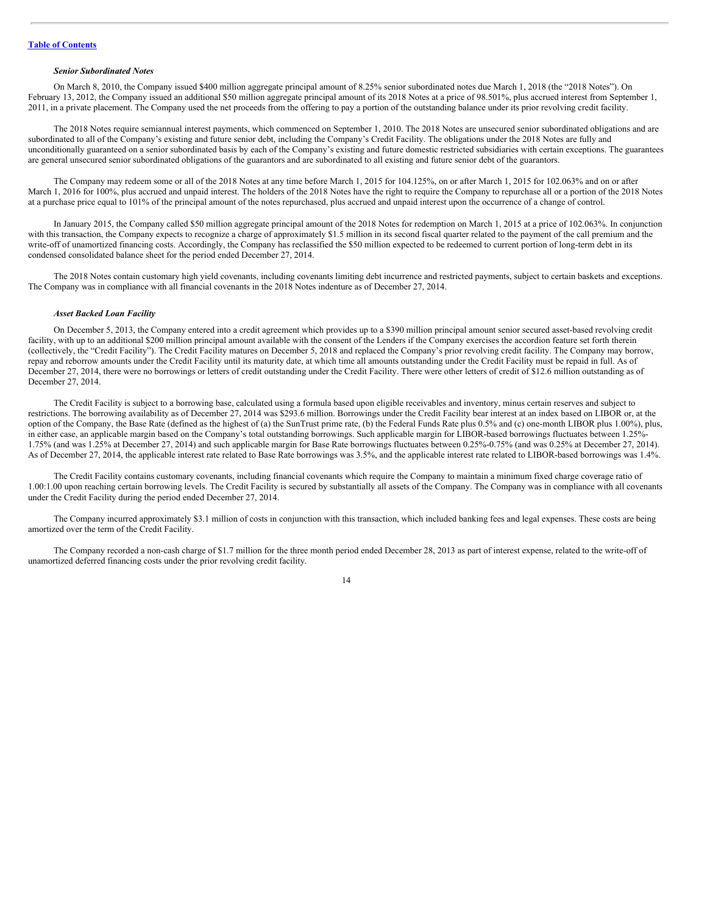#### *Senior Subordinated Notes*

On March 8, 2010, the Company issued \$400 million aggregate principal amount of 8.25% senior subordinated notes due March 1, 2018 (the "2018 Notes"). On February 13, 2012, the Company issued an additional \$50 million aggregate principal amount of its 2018 Notes at a price of 98.501%, plus accrued interest from September 1, 2011, in a private placement. The Company used the net proceeds from the offering to pay a portion of the outstanding balance under its prior revolving credit facility.

The 2018 Notes require semiannual interest payments, which commenced on September 1, 2010. The 2018 Notes are unsecured senior subordinated obligations and are subordinated to all of the Company's existing and future senior debt, including the Company's Credit Facility. The obligations under the 2018 Notes are fully and unconditionally guaranteed on a senior subordinated basis by each of the Company's existing and future domestic restricted subsidiaries with certain exceptions. The guarantees are general unsecured senior subordinated obligations of the guarantors and are subordinated to all existing and future senior debt of the guarantors.

The Company may redeem some or all of the 2018 Notes at any time before March 1, 2015 for 104.125%, on or after March 1, 2015 for 102.063% and on or after March 1, 2016 for 100%, plus accrued and unpaid interest. The holders of the 2018 Notes have the right to require the Company to repurchase all or a portion of the 2018 Notes at a purchase price equal to 101% of the principal amount of the notes repurchased, plus accrued and unpaid interest upon the occurrence of a change of control.

In January 2015, the Company called \$50 million aggregate principal amount of the 2018 Notes for redemption on March 1, 2015 at a price of 102.063%. In conjunction with this transaction, the Company expects to recognize a charge of approximately \$1.5 million in its second fiscal quarter related to the payment of the call premium and the write-off of unamortized financing costs. Accordingly, the Company has reclassified the \$50 million expected to be redeemed to current portion of long-term debt in its condensed consolidated balance sheet for the period ended December 27, 2014.

The 2018 Notes contain customary high yield covenants, including covenants limiting debt incurrence and restricted payments, subject to certain baskets and exceptions. The Company was in compliance with all financial covenants in the 2018 Notes indenture as of December 27, 2014.

#### *Asset Backed Loan Facility*

On December 5, 2013, the Company entered into a credit agreement which provides up to a \$390 million principal amount senior secured asset-based revolving credit facility, with up to an additional \$200 million principal amount available with the consent of the Lenders if the Company exercises the accordion feature set forth therein (collectively, the "Credit Facility"). The Credit Facility matures on December 5, 2018 and replaced the Company's prior revolving credit facility. The Company may borrow, repay and reborrow amounts under the Credit Facility until its maturity date, at which time all amounts outstanding under the Credit Facility must be repaid in full. As of December 27, 2014, there were no borrowings or letters of credit outstanding under the Credit Facility. There were other letters of credit of \$12.6 million outstanding as of December 27, 2014.

The Credit Facility is subject to a borrowing base, calculated using a formula based upon eligible receivables and inventory, minus certain reserves and subject to restrictions. The borrowing availability as of December 27, 2014 was \$293.6 million. Borrowings under the Credit Facility bear interest at an index based on LIBOR or, at the option of the Company, the Base Rate (defined as the highest of (a) the SunTrust prime rate, (b) the Federal Funds Rate plus 0.5% and (c) one-month LIBOR plus 1.00%), plus, in either case, an applicable margin based on the Company's total outstanding borrowings. Such applicable margin for LIBOR-based borrowings fluctuates between 1.25%- 1.75% (and was 1.25% at December 27, 2014) and such applicable margin for Base Rate borrowings fluctuates between 0.25%-0.75% (and was 0.25% at December 27, 2014). As of December 27, 2014, the applicable interest rate related to Base Rate borrowings was 3.5%, and the applicable interest rate related to LIBOR-based borrowings was 1.4%.

The Credit Facility contains customary covenants, including financial covenants which require the Company to maintain a minimum fixed charge coverage ratio of 1.00:1.00 upon reaching certain borrowing levels. The Credit Facility is secured by substantially all assets of the Company. The Company was in compliance with all covenants under the Credit Facility during the period ended December 27, 2014.

The Company incurred approximately \$3.1 million of costs in conjunction with this transaction, which included banking fees and legal expenses. These costs are being amortized over the term of the Credit Facility.

The Company recorded a non-cash charge of \$1.7 million for the three month period ended December 28, 2013 as part of interest expense, related to the write-off of unamortized deferred financing costs under the prior revolving credit facility.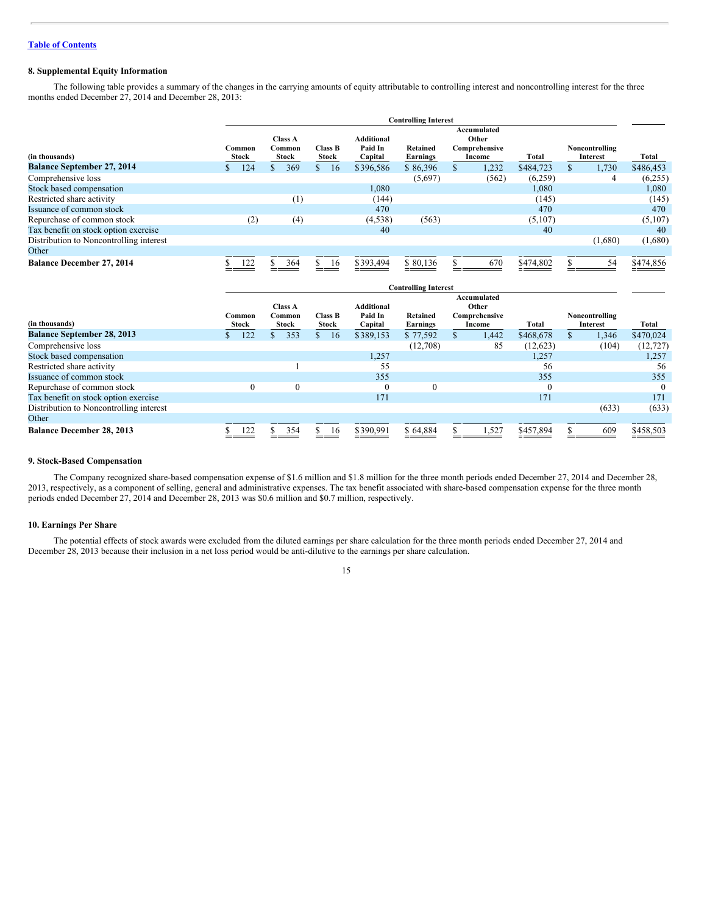#### **8. Supplemental Equity Information**

The following table provides a summary of the changes in the carrying amounts of equity attributable to controlling interest and noncontrolling interest for the three months ended December 27, 2014 and December 28, 2013:

|                                         |                 |                 |                         |                    | <b>Controlling Interest</b> |                         |       |           |                                   |           |
|-----------------------------------------|-----------------|-----------------|-------------------------|--------------------|-----------------------------|-------------------------|-------|-----------|-----------------------------------|-----------|
|                                         |                 | <b>Class A</b>  |                         | <b>Additional</b>  |                             | Accumulated<br>Other    |       |           |                                   |           |
| (in thousands)                          | Common<br>Stock | Common<br>Stock | <b>Class B</b><br>Stock | Paid In<br>Capital | <b>Retained</b><br>Earnings | Comprehensive<br>Income |       | Total     | Noncontrolling<br><b>Interest</b> | Total     |
| <b>Balance September 27, 2014</b>       | 124             | 369             | \$<br>16                | \$396,586          | \$86,396                    |                         | 1,232 | \$484,723 | 1,730                             | \$486,453 |
| Comprehensive loss                      |                 |                 |                         |                    | (5,697)                     |                         | (562) | (6,259)   | 4                                 | (6,255)   |
| Stock based compensation                |                 |                 |                         | 1,080              |                             |                         |       | 1,080     |                                   | 1,080     |
| Restricted share activity               |                 | (1)             |                         | (144)              |                             |                         |       | (145)     |                                   | (145)     |
| Issuance of common stock                |                 |                 |                         | 470                |                             |                         |       | 470       |                                   | 470       |
| Repurchase of common stock              | (2)             | (4)             |                         | (4,538)            | (563)                       |                         |       | (5,107)   |                                   | (5,107)   |
| Tax benefit on stock option exercise    |                 |                 |                         | 40                 |                             |                         |       | 40        |                                   | 40        |
| Distribution to Noncontrolling interest |                 |                 |                         |                    |                             |                         |       |           | (1,680)                           | (1,680)   |
| Other                                   |                 |                 |                         |                    |                             |                         |       |           |                                   |           |
| <b>Balance December 27, 2014</b>        | 122             | 364             | 16                      | \$393,494          | \$80,136                    |                         | 670   | \$474,802 | 54                                | \$474,856 |

|                                         | <b>Controlling Interest</b> |                          |                |                              |          |  |                        |           |                |           |
|-----------------------------------------|-----------------------------|--------------------------|----------------|------------------------------|----------|--|------------------------|-----------|----------------|-----------|
|                                         |                             |                          |                |                              |          |  | Accumulated            |           |                |           |
|                                         | Common                      | <b>Class A</b><br>Common | <b>Class B</b> | <b>Additional</b><br>Paid In | Retained |  | Other<br>Comprehensive |           | Noncontrolling |           |
| (in thousands)                          | Stock                       | <b>Stock</b>             | <b>Stock</b>   | Capital                      | Earnings |  | Income                 | Total     | Interest       | Total     |
| <b>Balance September 28, 2013</b>       | 122<br>S.                   | 353                      | 16<br>\$       | \$389,153                    | \$77,592 |  | 1,442                  | \$468,678 | 1,346          | \$470,024 |
| Comprehensive loss                      |                             |                          |                |                              | (12,708) |  | 85                     | (12, 623) | (104)          | (12, 727) |
| Stock based compensation                |                             |                          |                | 1,257                        |          |  |                        | 1,257     |                | 1,257     |
| Restricted share activity               |                             |                          |                | 55                           |          |  |                        | 56        |                | 56        |
| Issuance of common stock                |                             |                          |                | 355                          |          |  |                        | 355       |                | 355       |
| Repurchase of common stock              | $\Omega$                    | $\Omega$                 |                | $\theta$                     | $\Omega$ |  |                        | $\theta$  |                | $\theta$  |
| Tax benefit on stock option exercise    |                             |                          |                | 171                          |          |  |                        | 171       |                | 171       |
| Distribution to Noncontrolling interest |                             |                          |                |                              |          |  |                        |           | (633)          | (633)     |
| Other                                   |                             |                          |                |                              |          |  |                        |           |                |           |
| <b>Balance December 28, 2013</b>        | 122                         | 354                      | 16             | \$390,991                    | \$64,884 |  | 1,527                  | \$457,894 | 609            | \$458,503 |

#### **9. Stock-Based Compensation**

The Company recognized share-based compensation expense of \$1.6 million and \$1.8 million for the three month periods ended December 27, 2014 and December 28, 2013, respectively, as a component of selling, general and administrative expenses. The tax benefit associated with share-based compensation expense for the three month periods ended December 27, 2014 and December 28, 2013 was \$0.6 million and \$0.7 million, respectively.

#### **10. Earnings Per Share**

The potential effects of stock awards were excluded from the diluted earnings per share calculation for the three month periods ended December 27, 2014 and December 28, 2013 because their inclusion in a net loss period would be anti-dilutive to the earnings per share calculation.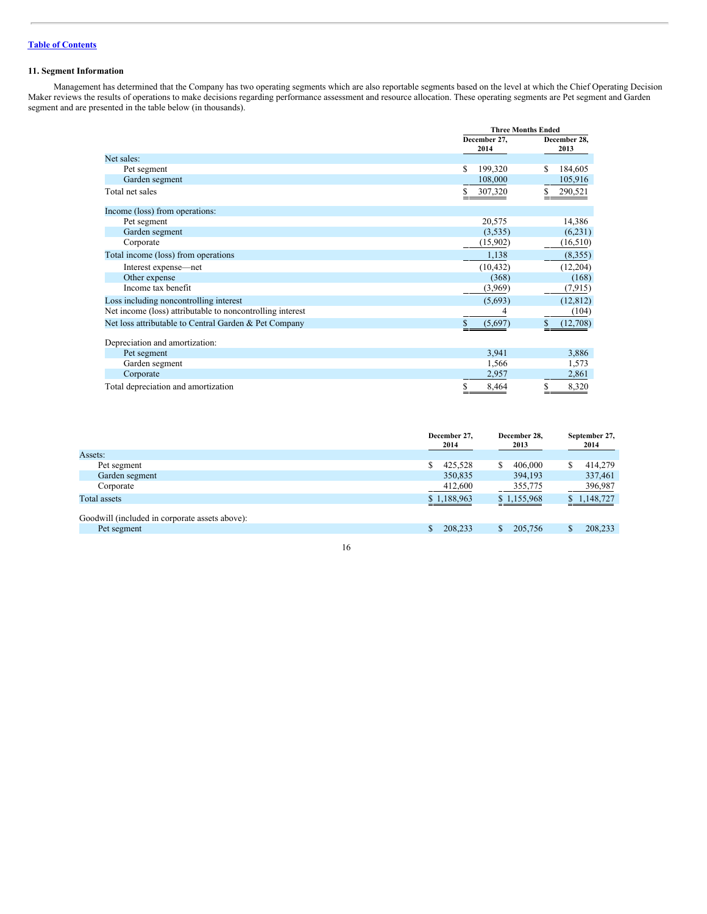#### **11. Segment Information**

Management has determined that the Company has two operating segments which are also reportable segments based on the level at which the Chief Operating Decision Maker reviews the results of operations to make decisions regarding performance assessment and resource allocation. These operating segments are Pet segment and Garden segment and are presented in the table below (in thousands).

|                                                           |                      | <b>Three Months Ended</b> |  |  |  |
|-----------------------------------------------------------|----------------------|---------------------------|--|--|--|
|                                                           | December 27.<br>2014 | December 28.<br>2013      |  |  |  |
| Net sales:                                                |                      |                           |  |  |  |
| Pet segment                                               | S.<br>199,320        | 184,605<br>S              |  |  |  |
| Garden segment                                            | 108,000              | 105,916                   |  |  |  |
| Total net sales                                           | 307,320              | 290,521                   |  |  |  |
| Income (loss) from operations:                            |                      |                           |  |  |  |
| Pet segment                                               | 20,575               | 14,386                    |  |  |  |
| Garden segment                                            |                      | (3,535)<br>(6,231)        |  |  |  |
| Corporate                                                 | (15,902)             | (16, 510)                 |  |  |  |
| Total income (loss) from operations                       |                      | 1,138<br>(8,355)          |  |  |  |
| Interest expense—net                                      | (10, 432)            | (12, 204)                 |  |  |  |
| Other expense                                             |                      | (168)<br>(368)            |  |  |  |
| Income tax benefit                                        |                      | (7, 915)<br>(3,969)       |  |  |  |
| Loss including noncontrolling interest                    |                      | (5,693)<br>(12, 812)      |  |  |  |
| Net income (loss) attributable to noncontrolling interest |                      | (104)<br>4                |  |  |  |
| Net loss attributable to Central Garden & Pet Company     |                      | (5,697)<br>(12,708)       |  |  |  |
| Depreciation and amortization:                            |                      |                           |  |  |  |
| Pet segment                                               |                      | 3,941<br>3,886            |  |  |  |
| Garden segment                                            |                      | 1,566<br>1,573            |  |  |  |
| Corporate                                                 |                      | 2,861<br>2,957            |  |  |  |
| Total depreciation and amortization                       | \$                   | \$<br>8,320<br>8,464      |  |  |  |

|                                                | December 27.<br>2014 | December 28,<br>2013 | September 27,<br>2014 |
|------------------------------------------------|----------------------|----------------------|-----------------------|
| Assets:                                        |                      |                      |                       |
| Pet segment                                    | 425.528<br>S         | S<br>406,000         | 414,279               |
| Garden segment                                 | 350,835              | 394,193              | 337,461               |
| Corporate                                      | 412,600              | 355,775              | 396,987               |
| Total assets                                   | \$1,188,963          | \$1,155,968          | \$1,148,727           |
| Goodwill (included in corporate assets above): |                      |                      |                       |
| Pet segment                                    | 208,233              | 205,756<br>S         | 208,233               |
|                                                |                      |                      |                       |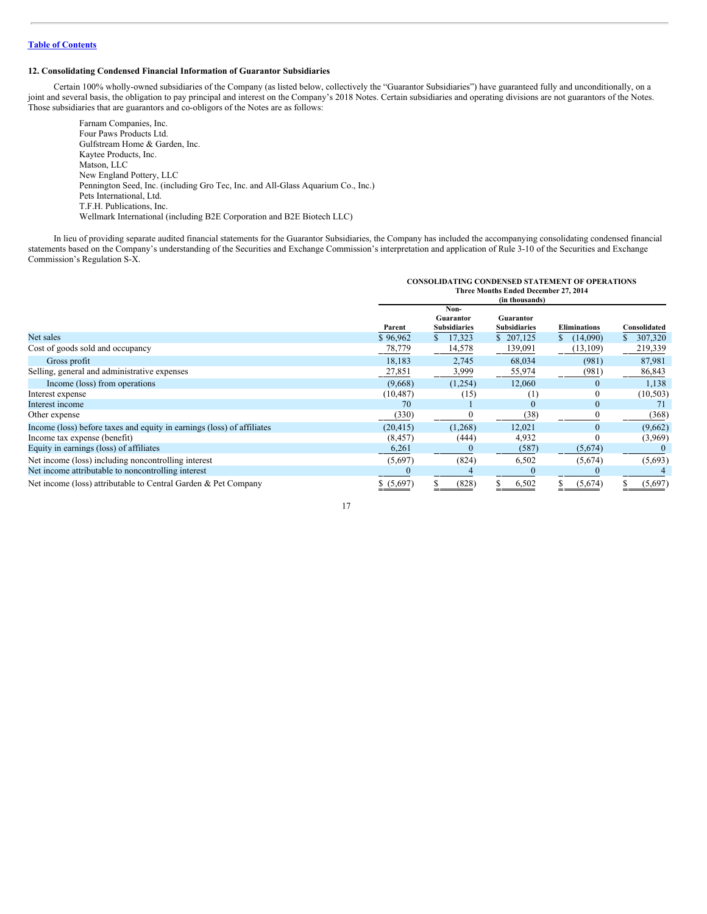#### **12. Consolidating Condensed Financial Information of Guarantor Subsidiaries**

Certain 100% wholly-owned subsidiaries of the Company (as listed below, collectively the "Guarantor Subsidiaries") have guaranteed fully and unconditionally, on a joint and several basis, the obligation to pay principal and interest on the Company's 2018 Notes. Certain subsidiaries and operating divisions are not guarantors of the Notes. Those subsidiaries that are guarantors and co-obligors of the Notes are as follows:

Farnam Companies, Inc. Four Paws Products Ltd. Gulfstream Home & Garden, Inc. Kaytee Products, Inc. Matson, LLC New England Pottery, LLC Pennington Seed, Inc. (including Gro Tec, Inc. and All-Glass Aquarium Co., Inc.) Pets International, Ltd. T.F.H. Publications, Inc. Wellmark International (including B2E Corporation and B2E Biotech LLC)

In lieu of providing separate audited financial statements for the Guarantor Subsidiaries, the Company has included the accompanying consolidating condensed financial statements based on the Company's understanding of the Securities and Exchange Commission's interpretation and application of Rule 3-10 of the Securities and Exchange Commission's Regulation S-X.

|                                                                        |            | <b>CONSOLIDATING CONDENSED STATEMENT OF OPERATIONS</b><br>Three Months Ended December 27, 2014<br>(in thousands) |                                  |                     |              |  |  |  |  |  |
|------------------------------------------------------------------------|------------|------------------------------------------------------------------------------------------------------------------|----------------------------------|---------------------|--------------|--|--|--|--|--|
|                                                                        | Parent     | Non-<br>Guarantor<br><b>Subsidiaries</b>                                                                         | Guarantor<br><b>Subsidiaries</b> | <b>Eliminations</b> | Consolidated |  |  |  |  |  |
| Net sales                                                              | \$96,962   | 17,323                                                                                                           | \$207,125                        | (14,090)            | 307,320      |  |  |  |  |  |
| Cost of goods sold and occupancy                                       | 78,779     | 14,578                                                                                                           | 139,091                          | (13,109)            | 219,339      |  |  |  |  |  |
| Gross profit                                                           | 18,183     | 2,745                                                                                                            | 68,034                           | (981)               | 87,981       |  |  |  |  |  |
| Selling, general and administrative expenses                           | 27,851     | 3,999                                                                                                            | 55,974                           | (981)               | 86,843       |  |  |  |  |  |
| Income (loss) from operations                                          | (9,668)    | (1,254)                                                                                                          | 12,060                           | $\theta$            | 1,138        |  |  |  |  |  |
| Interest expense                                                       | (10, 487)  | (15)                                                                                                             | (1)                              | $\bf{0}$            | (10, 503)    |  |  |  |  |  |
| Interest income                                                        | 70         |                                                                                                                  |                                  | $\mathbf{0}$        | 71           |  |  |  |  |  |
| Other expense                                                          | (330)      |                                                                                                                  | (38)                             |                     | (368)        |  |  |  |  |  |
| Income (loss) before taxes and equity in earnings (loss) of affiliates | (20, 415)  | (1,268)                                                                                                          | 12,021                           | $\mathbf{0}$        | (9,662)      |  |  |  |  |  |
| Income tax expense (benefit)                                           | (8, 457)   | (444)                                                                                                            | 4,932                            | $\mathbf{0}$        | (3,969)      |  |  |  |  |  |
| Equity in earnings (loss) of affiliates                                | 6,261      |                                                                                                                  | (587)                            | (5,674)             |              |  |  |  |  |  |
| Net income (loss) including noncontrolling interest                    | (5,697)    | (824)                                                                                                            | 6,502                            | (5,674)             | (5,693)      |  |  |  |  |  |
| Net income attributable to noncontrolling interest                     |            |                                                                                                                  |                                  |                     |              |  |  |  |  |  |
| Net income (loss) attributable to Central Garden & Pet Company         | \$ (5,697) | (828)                                                                                                            | 6,502                            | (5,674)             | (5,697)      |  |  |  |  |  |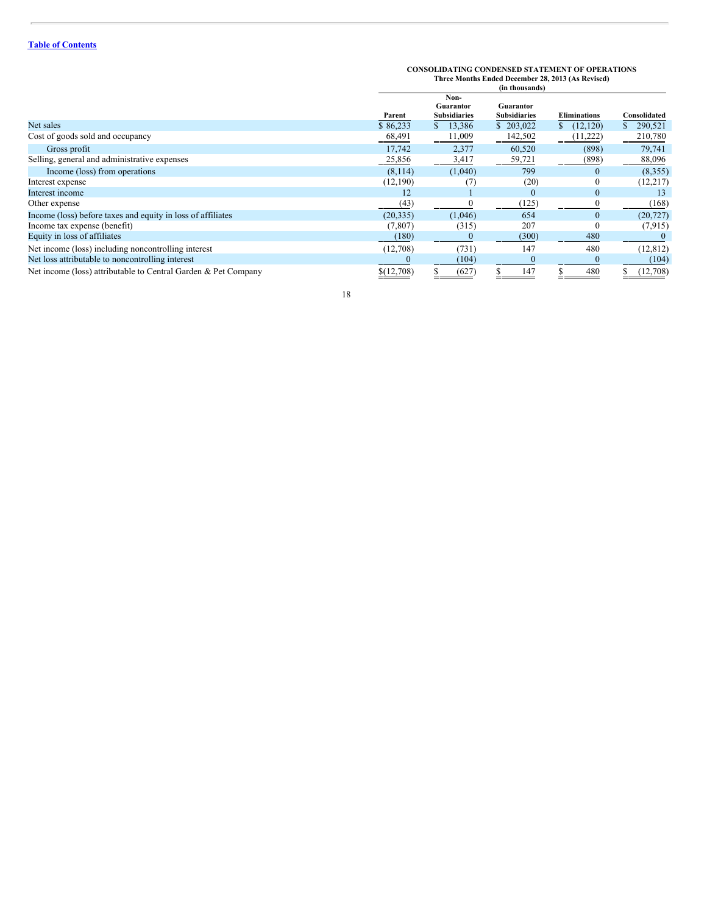## **CONSOLIDATING CONDENSED STATEMENT OF OPERATIONS Three Months Ended December 28, 2013 (As Revised) (in thousands)**

|                                                                |            |                                  | un unvusanus,                    |                     |              |
|----------------------------------------------------------------|------------|----------------------------------|----------------------------------|---------------------|--------------|
|                                                                |            |                                  |                                  |                     |              |
|                                                                | Parent     | Guarantor<br><b>Subsidiaries</b> | Guarantor<br><b>Subsidiaries</b> | <b>Eliminations</b> | Consolidated |
| Net sales                                                      | \$86.233   | 13,386                           | \$203,022                        | (12, 120)           | 290,521      |
| Cost of goods sold and occupancy                               | 68,491     | 11,009                           | 142,502                          | (11,222)            | 210,780      |
| Gross profit                                                   | 17,742     | 2,377                            | 60,520                           | (898)               | 79,741       |
| Selling, general and administrative expenses                   | 25,856     | 3,417                            | 59,721                           | (898)               | 88,096       |
| Income (loss) from operations                                  | (8,114)    | (1,040)                          | 799                              | $\theta$            | (8,355)      |
| Interest expense                                               | (12, 190)  |                                  | (20)                             | $\mathbf{0}$        | (12,217)     |
| Interest income                                                | 12         |                                  | $\Omega$                         | $\Omega$            | 13           |
| Other expense                                                  | (43)       |                                  | (125)                            |                     | (168)        |
| Income (loss) before taxes and equity in loss of affiliates    | (20, 335)  | (1,046)                          | 654                              | $\mathbf{0}$        | (20, 727)    |
| Income tax expense (benefit)                                   | (7,807)    | (315)                            | 207                              | $\Omega$            | (7, 915)     |
| Equity in loss of affiliates                                   | (180)      |                                  | (300)                            | 480                 |              |
| Net income (loss) including noncontrolling interest            | (12,708)   | (731)                            | 147                              | 480                 | (12, 812)    |
| Net loss attributable to noncontrolling interest               |            | (104)                            | $\Omega$                         |                     | (104)        |
| Net income (loss) attributable to Central Garden & Pet Company | \$(12,708) | (627)                            | 147                              | 480                 | (12,708)     |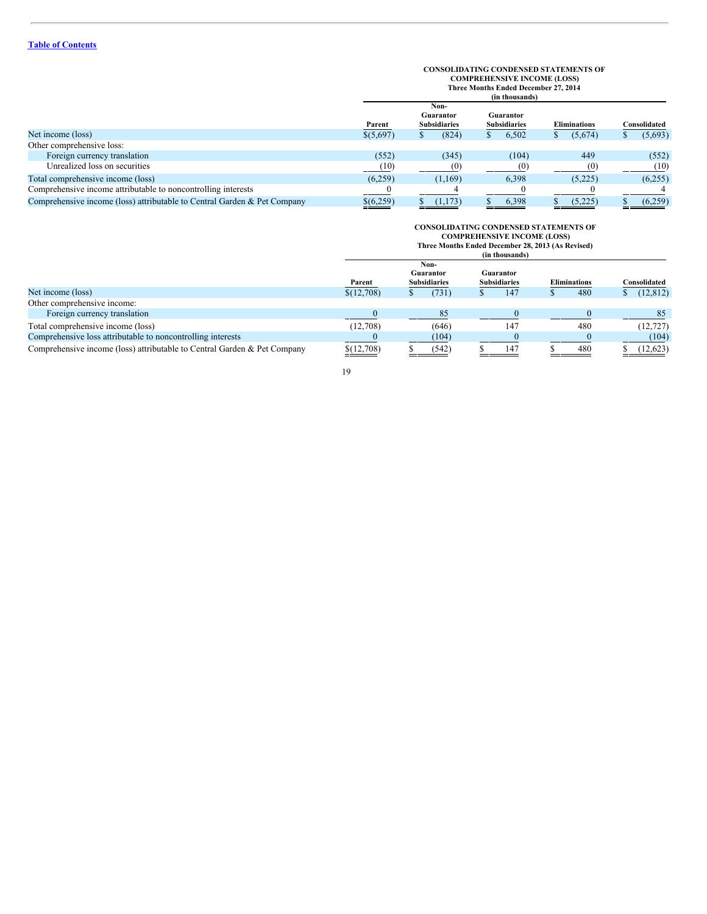# **CONSOLIDATING CONDENSED STATEMENTS OF COMPREHENSIVE INCOME (LOSS) Three Months Ended December 27, 2014 (in thousands)**

|                                                                          | (in thousands) |                     |                     |                     |              |  |  |
|--------------------------------------------------------------------------|----------------|---------------------|---------------------|---------------------|--------------|--|--|
|                                                                          |                | Non-                |                     |                     |              |  |  |
|                                                                          |                | Guarantor           | Guarantor           |                     |              |  |  |
|                                                                          | Parent         | <b>Subsidiaries</b> | <b>Subsidiaries</b> | <b>Eliminations</b> | Consolidated |  |  |
| Net income (loss)                                                        | \$(5,697)      | (824)               | 6,502               | (5,674)             | (5,693)      |  |  |
| Other comprehensive loss:                                                |                |                     |                     |                     |              |  |  |
| Foreign currency translation                                             | (552)          | (345)               | (104)               | 449                 | (552)        |  |  |
| Unrealized loss on securities                                            | (10)           |                     | 00                  | 00                  | (10)         |  |  |
| Total comprehensive income (loss)                                        | (6,259)        | (1,169)             | 6,398               | (5,225)             | (6,255)      |  |  |
| Comprehensive income attributable to noncontrolling interests            |                |                     |                     |                     |              |  |  |
| Comprehensive income (loss) attributable to Central Garden & Pet Company | \$(6,259)      | (1,173)             | 6,398               | (5,225)             | (6,259)      |  |  |

# **CONSOLIDATING CONDENSED STATEMENTS OF<br>COMPREHENSIVE INCOME (LOSS)**<br>Three Months Ended December 28, 2013 (As Revised)<br>(in thousands)

|                                                                          |                         |                                          | ии ию <b>изани</b> з)            |                     |              |
|--------------------------------------------------------------------------|-------------------------|------------------------------------------|----------------------------------|---------------------|--------------|
|                                                                          | Parent                  | Non-<br>Guarantor<br><b>Subsidiaries</b> | Guarantor<br><b>Subsidiaries</b> | <b>Eliminations</b> | Consolidated |
| Net income (loss)                                                        | \$(12,708)              | (731)                                    | 147                              | 480                 | (12, 812)    |
| Other comprehensive income:                                              |                         |                                          |                                  |                     |              |
| Foreign currency translation                                             |                         | 85                                       |                                  |                     | 85           |
| Total comprehensive income (loss)                                        | (12,708)                | (646)                                    | 147                              | 480                 | (12, 727)    |
| Comprehensive loss attributable to noncontrolling interests              |                         | (104)                                    |                                  |                     | (104)        |
| Comprehensive income (loss) attributable to Central Garden & Pet Company | $$(\underline{12,708})$ | (542)                                    | 147                              | 480                 | (12, 623)    |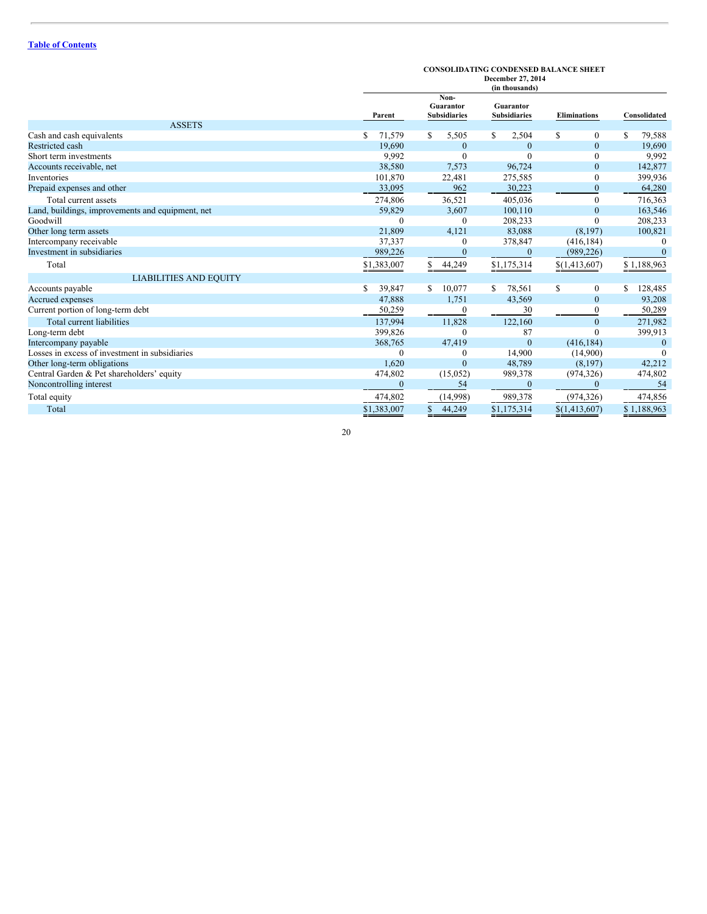|                                                  | <b>CONSOLIDATING CONDENSED BALANCE SHEET</b><br>December 27, 2014<br>(in thousands) |                                          |                                  |                     |              |  |  |
|--------------------------------------------------|-------------------------------------------------------------------------------------|------------------------------------------|----------------------------------|---------------------|--------------|--|--|
|                                                  | Parent                                                                              | Non-<br>Guarantor<br><b>Subsidiaries</b> | Guarantor<br><b>Subsidiaries</b> | <b>Eliminations</b> | Consolidated |  |  |
| <b>ASSETS</b>                                    |                                                                                     |                                          |                                  |                     |              |  |  |
| Cash and cash equivalents                        | 71,579<br>S                                                                         | 5,505<br>S                               | 2,504<br>S                       | S<br>$\bf{0}$       | 79,588<br>S  |  |  |
| Restricted cash                                  | 19.690                                                                              | $\mathbf{0}$                             | $\overline{0}$                   | $\mathbf{0}$        | 19,690       |  |  |
| Short term investments                           | 9,992                                                                               | $\theta$                                 | $\mathbf{0}$                     | $\mathbf{0}$        | 9,992        |  |  |
| Accounts receivable, net                         | 38,580                                                                              | 7,573                                    | 96,724                           | $\overline{0}$      | 142,877      |  |  |
| Inventories                                      | 101,870                                                                             | 22,481                                   | 275,585                          | $\mathbf{0}$        | 399,936      |  |  |
| Prepaid expenses and other                       | 33,095                                                                              | 962                                      | 30,223                           | $\boldsymbol{0}$    | 64,280       |  |  |
| Total current assets                             | 274,806                                                                             | 36,521                                   | 405,036                          | $\Omega$            | 716,363      |  |  |
| Land, buildings, improvements and equipment, net | 59,829                                                                              | 3,607                                    | 100,110                          | $\mathbf{0}$        | 163,546      |  |  |
| Goodwill                                         | $\Omega$                                                                            | $\theta$                                 | 208,233                          | $\Omega$            | 208,233      |  |  |
| Other long term assets                           | 21,809                                                                              | 4,121                                    | 83,088                           | (8,197)             | 100,821      |  |  |
| Intercompany receivable                          | 37,337                                                                              | $\Omega$                                 | 378,847                          | (416, 184)          | $\Omega$     |  |  |
| Investment in subsidiaries                       | 989,226                                                                             | $\mathbf{0}$                             | $\boldsymbol{0}$                 | (989, 226)          | $\Omega$     |  |  |
| Total                                            | \$1,383,007                                                                         | 44,249<br>\$                             | \$1,175,314                      | \$(1,413,607)       | \$1,188,963  |  |  |
| <b>LIABILITIES AND EQUITY</b>                    |                                                                                     |                                          |                                  |                     |              |  |  |
| Accounts payable                                 | 39,847<br>S                                                                         | 10,077<br>S                              | 78,561<br>\$                     | \$<br>$\mathbf{0}$  | 128,485<br>S |  |  |
| Accrued expenses                                 | 47,888                                                                              | 1,751                                    | 43,569                           | $\mathbf{0}$        | 93,208       |  |  |
| Current portion of long-term debt                | 50,259                                                                              | $\boldsymbol{0}$                         | 30                               | $\Omega$            | 50,289       |  |  |
| Total current liabilities                        | 137,994                                                                             | 11,828                                   | 122,160                          | $\mathbf{0}$        | 271,982      |  |  |
| Long-term debt                                   | 399,826                                                                             |                                          | 87                               | $\Omega$            | 399,913      |  |  |
| Intercompany payable                             | 368,765                                                                             | 47,419                                   | $\mathbf{0}$                     | (416, 184)          | $\mathbf{0}$ |  |  |
| Losses in excess of investment in subsidiaries   | $\Omega$                                                                            | $\theta$                                 | 14,900                           | (14,900)            | $\theta$     |  |  |
| Other long-term obligations                      | 1,620                                                                               | $\mathbf{0}$                             | 48,789                           | (8,197)             | 42,212       |  |  |
| Central Garden & Pet shareholders' equity        | 474,802                                                                             | (15,052)                                 | 989,378                          | (974, 326)          | 474,802      |  |  |
| Noncontrolling interest                          | $\mathbf{0}$                                                                        | 54                                       | $\mathbf{0}$                     | $\Omega$            | 54           |  |  |
| Total equity                                     | 474,802                                                                             | (14,998)                                 | 989,378                          | (974, 326)          | 474,856      |  |  |
| Total                                            | \$1,383,007                                                                         | $\mathbb{S}$<br>44,249                   | \$1,175,314                      | \$(1,413,607)       | \$1,188,963  |  |  |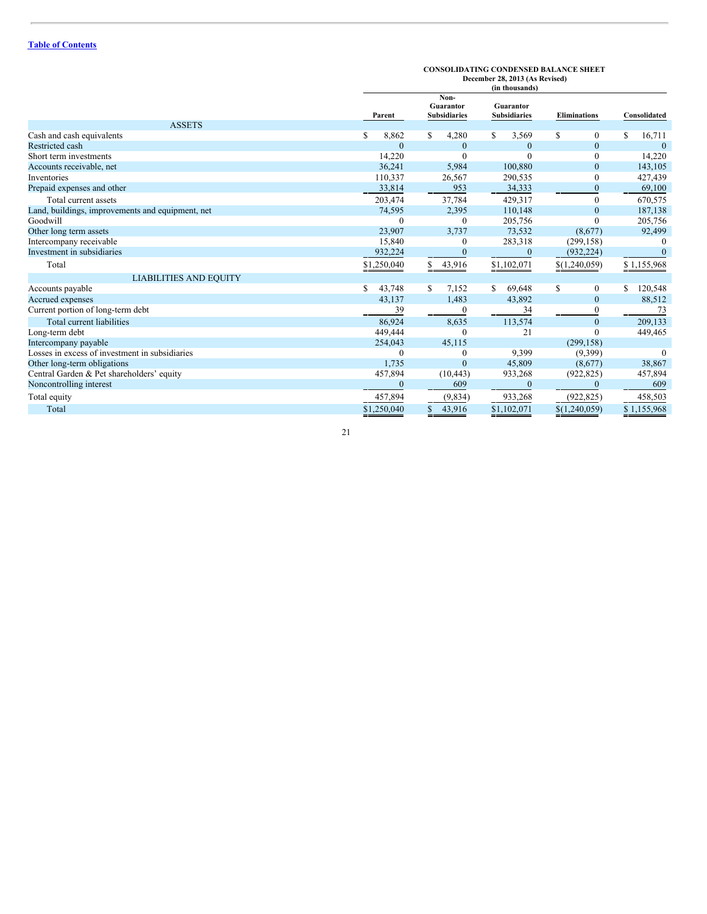|                                                  | <b>CONSOLIDATING CONDENSED BALANCE SHEET</b><br>December 28, 2013 (As Revised)<br>(in thousands) |                                          |                                  |                     |                  |  |
|--------------------------------------------------|--------------------------------------------------------------------------------------------------|------------------------------------------|----------------------------------|---------------------|------------------|--|
|                                                  | Parent                                                                                           | Non-<br>Guarantor<br><b>Subsidiaries</b> | Guarantor<br><b>Subsidiaries</b> | <b>Eliminations</b> | Consolidated     |  |
| <b>ASSETS</b>                                    |                                                                                                  |                                          |                                  |                     |                  |  |
| Cash and cash equivalents                        | S<br>8,862                                                                                       | S<br>4,280                               | S<br>3,569                       | S<br>$\mathbf{0}$   | S<br>16,711      |  |
| Restricted cash                                  | $\overline{0}$                                                                                   | $\mathbf{0}$                             | $\mathbf{0}$                     | $\mathbf{0}$        | $\mathbf{0}$     |  |
| Short term investments                           | 14,220                                                                                           | $\Omega$                                 | $\theta$                         | $\mathbf{0}$        | 14,220           |  |
| Accounts receivable, net                         | 36,241                                                                                           | 5,984                                    | 100,880                          | $\mathbf{0}$        | 143,105          |  |
| Inventories                                      | 110,337                                                                                          | 26,567                                   | 290,535                          | $\boldsymbol{0}$    | 427,439          |  |
| Prepaid expenses and other                       | 33,814                                                                                           | 953                                      | 34,333                           | $\mathbf{0}$        | 69,100           |  |
| Total current assets                             | 203,474                                                                                          | 37,784                                   | 429,317                          | $\mathbf{0}$        | 670,575          |  |
| Land, buildings, improvements and equipment, net | 74,595                                                                                           | 2,395                                    | 110,148                          | $\boldsymbol{0}$    | 187,138          |  |
| Goodwill                                         | $\Omega$                                                                                         | $\Omega$                                 | 205,756                          | $\mathbf{0}$        | 205,756          |  |
| Other long term assets                           | 23,907                                                                                           | 3,737                                    | 73,532                           | (8,677)             | 92,499           |  |
| Intercompany receivable                          | 15,840                                                                                           | $\Omega$                                 | 283,318                          | (299, 158)          | $\Omega$         |  |
| Investment in subsidiaries                       | 932,224                                                                                          | $\mathbf{0}$                             | $\mathbf{0}$                     | (932, 224)          | $\theta$         |  |
| Total                                            | \$1,250,040                                                                                      | 43,916<br>\$                             | \$1,102,071                      | \$(1,240,059)       | \$1,155,968      |  |
| <b>LIABILITIES AND EQUITY</b>                    |                                                                                                  |                                          |                                  |                     |                  |  |
| Accounts payable                                 | \$<br>43,748                                                                                     | S<br>7,152                               | 69,648<br>\$                     | S<br>$\mathbf{0}$   | S<br>120,548     |  |
| Accrued expenses                                 | 43,137                                                                                           | 1,483                                    | 43,892                           | $\mathbf{0}$        | 88,512           |  |
| Current portion of long-term debt                | 39                                                                                               |                                          | 34                               | $\mathbf{0}$        | 73               |  |
| Total current liabilities                        | 86.924                                                                                           | 8,635                                    | 113,574                          | $\mathbf{0}$        | 209,133          |  |
| Long-term debt                                   | 449,444                                                                                          | $\Omega$                                 | 21                               | $\Omega$            | 449,465          |  |
| Intercompany payable                             | 254,043                                                                                          | 45,115                                   |                                  | (299, 158)          |                  |  |
| Losses in excess of investment in subsidiaries   | $\mathbf{0}$                                                                                     |                                          | 9,399                            | (9,399)             | $\boldsymbol{0}$ |  |
| Other long-term obligations                      | 1,735                                                                                            | $\Omega$                                 | 45,809                           | (8,677)             | 38,867           |  |
| Central Garden & Pet shareholders' equity        | 457,894                                                                                          | (10, 443)                                | 933,268                          | (922, 825)          | 457,894          |  |
| Noncontrolling interest                          | $\overline{0}$                                                                                   | 609                                      | $\mathbf{0}$                     | $\mathbf{0}$        | 609              |  |
| Total equity                                     | 457,894                                                                                          | (9,834)                                  | 933,268                          | (922, 825)          | 458,503          |  |
| Total                                            | \$1,250,040                                                                                      | $\mathbb{S}$<br>43,916                   | \$1,102,071                      | \$(1,240,059)       | \$1,155,968      |  |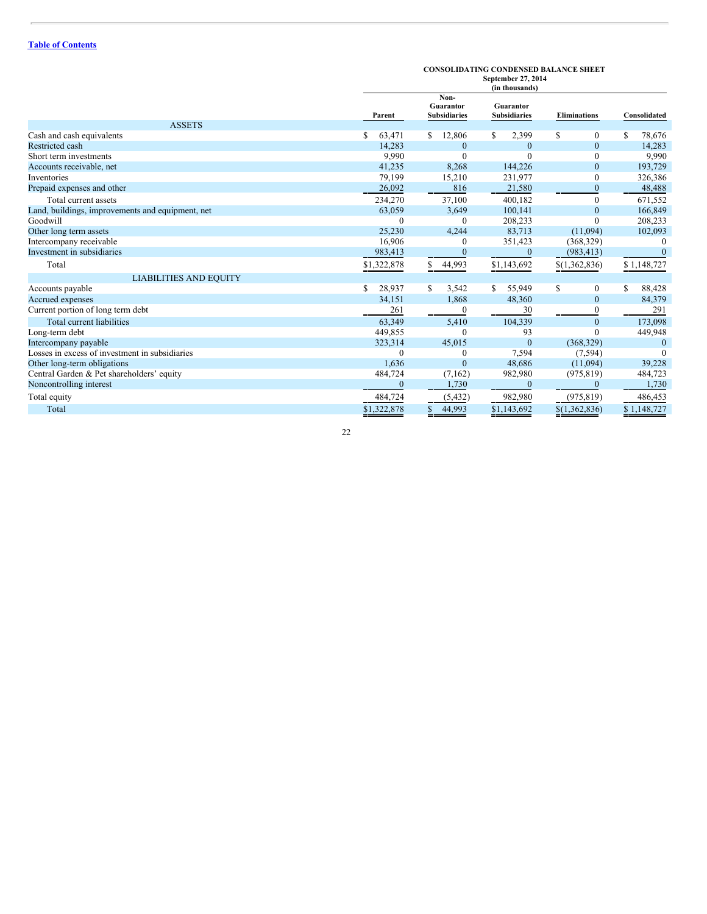|                                                  | <b>CONSOLIDATING CONDENSED BALANCE SHEET</b><br>September 27, 2014<br>(in thousands) |              |                                          |    |                                  |    |                     |   |              |
|--------------------------------------------------|--------------------------------------------------------------------------------------|--------------|------------------------------------------|----|----------------------------------|----|---------------------|---|--------------|
|                                                  | Parent                                                                               |              | Non-<br>Guarantor<br><b>Subsidiaries</b> |    | Guarantor<br><b>Subsidiaries</b> |    | <b>Eliminations</b> |   | Consolidated |
| <b>ASSETS</b>                                    |                                                                                      |              |                                          |    |                                  |    |                     |   |              |
| Cash and cash equivalents                        | S<br>63,471                                                                          | S.           | 12,806                                   | S  | 2,399                            | \$ | $\bf{0}$            | S | 78,676       |
| Restricted cash                                  | 14,283                                                                               |              | $\mathbf{0}$                             |    | $\bf{0}$                         |    | $\mathbf{0}$        |   | 14,283       |
| Short term investments                           | 9,990                                                                                |              | $\Omega$                                 |    | $\Omega$                         |    | $\mathbf{0}$        |   | 9,990        |
| Accounts receivable, net                         | 41,235                                                                               |              | 8,268                                    |    | 144,226                          |    | $\mathbf{0}$        |   | 193,729      |
| Inventories                                      | 79,199                                                                               |              | 15,210                                   |    | 231,977                          |    | $\boldsymbol{0}$    |   | 326,386      |
| Prepaid expenses and other                       | 26,092                                                                               |              | 816                                      |    | 21,580                           |    | $\mathbf{0}$        |   | 48,488       |
| Total current assets                             | 234,270                                                                              |              | 37,100                                   |    | 400,182                          |    | $\mathbf{0}$        |   | 671,552      |
| Land, buildings, improvements and equipment, net | 63,059                                                                               |              | 3,649                                    |    | 100,141                          |    | $\mathbf{0}$        |   | 166,849      |
| Goodwill                                         | $\theta$                                                                             |              | $\Omega$                                 |    | 208,233                          |    | $\mathbf{0}$        |   | 208,233      |
| Other long term assets                           | 25,230                                                                               |              | 4,244                                    |    | 83,713                           |    | (11,094)            |   | 102,093      |
| Intercompany receivable                          | 16,906                                                                               |              | $\Omega$                                 |    | 351,423                          |    | (368,329)           |   | $\theta$     |
| Investment in subsidiaries                       | 983,413                                                                              |              | $\mathbf{0}$                             |    | $\mathbf{0}$                     |    | (983, 413)          |   | $\Omega$     |
| Total                                            | \$1,322,878                                                                          | \$           | 44,993                                   |    | \$1,143,692                      |    | \$(1,362,836)       |   | \$1,148,727  |
| <b>LIABILITIES AND EQUITY</b>                    |                                                                                      |              |                                          |    |                                  |    |                     |   |              |
| Accounts payable                                 | 28,937<br>S                                                                          | S            | 3,542                                    | \$ | 55,949                           | \$ | $\overline{0}$      | S | 88,428       |
| Accrued expenses                                 | 34,151                                                                               |              | 1,868                                    |    | 48,360                           |    | $\mathbf{0}$        |   | 84,379       |
| Current portion of long term debt                | 261                                                                                  |              |                                          |    | 30                               |    | $\mathbf{0}$        |   | 291          |
| Total current liabilities                        | 63,349                                                                               |              | 5,410                                    |    | 104,339                          |    | $\mathbf{0}$        |   | 173,098      |
| Long-term debt                                   | 449,855                                                                              |              | $\Omega$                                 |    | 93                               |    | $\Omega$            |   | 449,948      |
| Intercompany payable                             | 323,314                                                                              |              | 45,015                                   |    | $\mathbf{0}$                     |    | (368, 329)          |   | $\theta$     |
| Losses in excess of investment in subsidiaries   | $\theta$                                                                             |              | $\boldsymbol{0}$                         |    | 7,594                            |    | (7, 594)            |   |              |
| Other long-term obligations                      | 1,636                                                                                |              | $\theta$                                 |    | 48,686                           |    | (11,094)            |   | 39,228       |
| Central Garden & Pet shareholders' equity        | 484,724                                                                              |              | (7,162)                                  |    | 982,980                          |    | (975, 819)          |   | 484,723      |
| Noncontrolling interest                          | $\mathbf{0}$                                                                         |              | 1,730                                    |    | $\mathbf{0}$                     |    | $\mathbf{0}$        |   | 1,730        |
| Total equity                                     | 484,724                                                                              |              | (5, 432)                                 |    | 982,980                          |    | (975, 819)          |   | 486,453      |
| Total                                            | \$1,322,878                                                                          | $\mathbb{S}$ | 44,993                                   |    | \$1,143,692                      |    | \$(1,362,836)       |   | \$1,148,727  |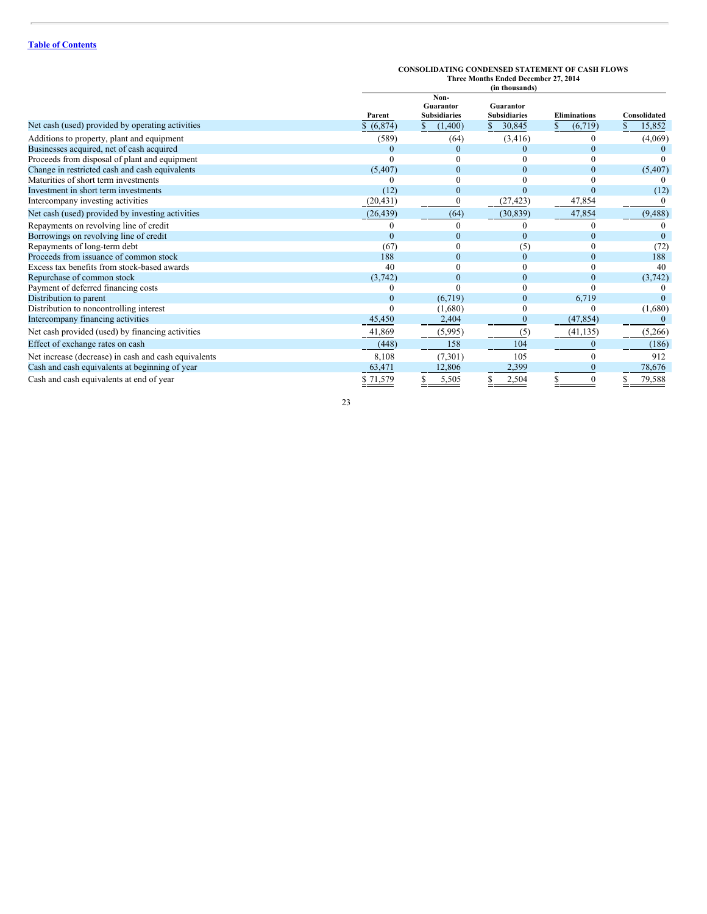|                                                      |                  | Three Months Ended December 27, 2014     |                                  |                     |              |  |  |  |
|------------------------------------------------------|------------------|------------------------------------------|----------------------------------|---------------------|--------------|--|--|--|
|                                                      |                  |                                          | (in thousands)                   |                     |              |  |  |  |
|                                                      | Parent           | Non-<br>Guarantor<br><b>Subsidiaries</b> | Guarantor<br><b>Subsidiaries</b> | <b>Eliminations</b> | Consolidated |  |  |  |
| Net cash (used) provided by operating activities     | (6,874)          | (1,400)<br>\$                            | 30,845                           | (6, 719)            | 15,852<br>S  |  |  |  |
| Additions to property, plant and equipment           | (589)            | (64)                                     | (3, 416)                         |                     | (4,069)      |  |  |  |
| Businesses acquired, net of cash acquired            |                  | $\theta$                                 |                                  |                     |              |  |  |  |
| Proceeds from disposal of plant and equipment        |                  |                                          |                                  |                     |              |  |  |  |
| Change in restricted cash and cash equivalents       | (5,407)          | $\mathbf{0}$                             |                                  |                     | (5, 407)     |  |  |  |
| Maturities of short term investments                 |                  |                                          |                                  |                     |              |  |  |  |
| Investment in short term investments                 | (12)             | $\mathbf{0}$                             |                                  |                     | (12)         |  |  |  |
| Intercompany investing activities                    | (20, 431)        | 0                                        | (27, 423)                        | 47,854              |              |  |  |  |
| Net cash (used) provided by investing activities     | (26, 439)        | (64)                                     | (30, 839)                        | 47,854              | (9, 488)     |  |  |  |
| Repayments on revolving line of credit               |                  |                                          |                                  |                     |              |  |  |  |
| Borrowings on revolving line of credit               | $\overline{0}$   | $\mathbf{0}$                             |                                  |                     |              |  |  |  |
| Repayments of long-term debt                         | (67)             |                                          | (5)                              |                     | (72)         |  |  |  |
| Proceeds from issuance of common stock               | 188              | $\mathbf{0}$                             | $\theta$                         |                     | 188          |  |  |  |
| Excess tax benefits from stock-based awards          | 40               |                                          |                                  |                     | 40           |  |  |  |
| Repurchase of common stock                           | (3,742)          | $\overline{0}$                           | $\overline{0}$                   |                     | (3,742)      |  |  |  |
| Payment of deferred financing costs                  |                  | 0                                        |                                  |                     |              |  |  |  |
| Distribution to parent                               | $\boldsymbol{0}$ | (6,719)                                  |                                  | 6,719               |              |  |  |  |
| Distribution to noncontrolling interest              | $\theta$         | (1,680)                                  |                                  |                     | (1,680)      |  |  |  |
| Intercompany financing activities                    | 45,450           | 2,404                                    |                                  | (47, 854)           |              |  |  |  |
| Net cash provided (used) by financing activities     | 41,869           | (5,995)                                  | (5)                              | (41, 135)           | (5,266)      |  |  |  |
| Effect of exchange rates on cash                     | (448)            | 158                                      | 104                              |                     | (186)        |  |  |  |
| Net increase (decrease) in cash and cash equivalents | 8,108            | (7,301)                                  | 105                              |                     | 912          |  |  |  |
| Cash and cash equivalents at beginning of year       | 63,471           | 12,806                                   | 2,399                            | $\Omega$            | 78,676       |  |  |  |
| Cash and cash equivalents at end of year             | \$71,579         | 5,505                                    | 2,504                            | $\mathbf{0}$<br>\$  | 79,588<br>S  |  |  |  |

## **CONSOLIDATING CONDENSED STATEMENT OF CASH FLOWS**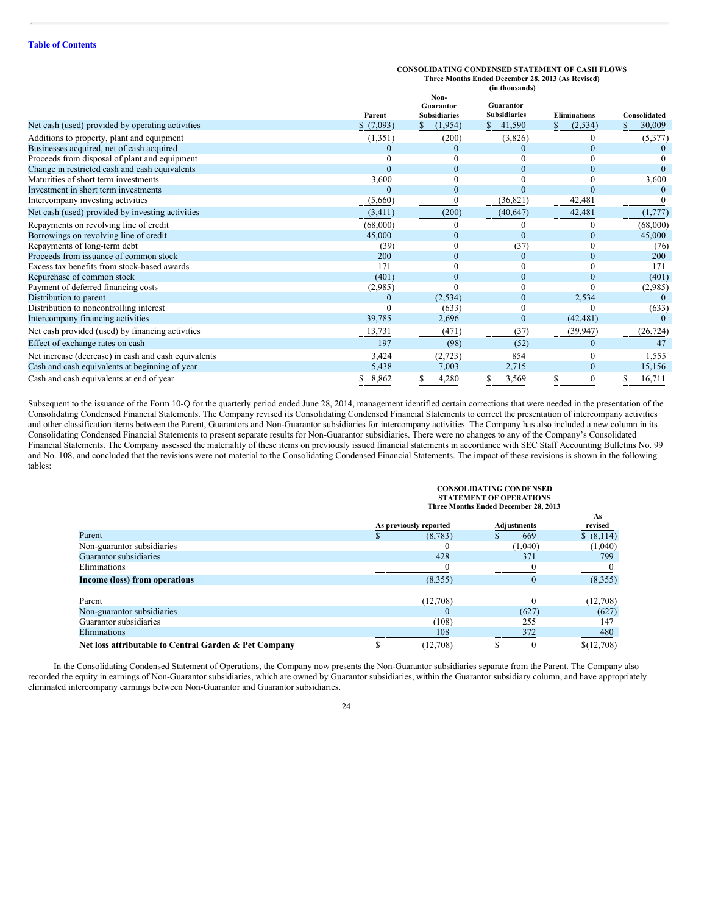|                                                      |                | Three Months Ended December 28, 2013 (As Revised) |                     |                     |              |  |  |  |
|------------------------------------------------------|----------------|---------------------------------------------------|---------------------|---------------------|--------------|--|--|--|
|                                                      |                |                                                   | (in thousands)      |                     |              |  |  |  |
|                                                      |                | Non-                                              |                     |                     |              |  |  |  |
|                                                      |                | Guarantor                                         | Guarantor           |                     |              |  |  |  |
|                                                      | Parent         | <b>Subsidiaries</b>                               | <b>Subsidiaries</b> | <b>Eliminations</b> | Consolidated |  |  |  |
| Net cash (used) provided by operating activities     | \$(7,093)      | (1, 954)<br>S.                                    | 41,590<br>S         | (2, 534)<br>\$      | 30,009<br>S  |  |  |  |
| Additions to property, plant and equipment           | (1, 351)       | (200)                                             | (3,826)             |                     | (5,377)      |  |  |  |
| Businesses acquired, net of cash acquired            |                |                                                   |                     |                     |              |  |  |  |
| Proceeds from disposal of plant and equipment        |                |                                                   |                     |                     |              |  |  |  |
| Change in restricted cash and cash equivalents       | $\overline{0}$ |                                                   |                     |                     |              |  |  |  |
| Maturities of short term investments                 | 3,600          |                                                   |                     |                     | 3,600        |  |  |  |
| Investment in short term investments                 | 0              |                                                   |                     |                     |              |  |  |  |
| Intercompany investing activities                    | (5,660)        |                                                   | (36, 821)           | 42,481              |              |  |  |  |
| Net cash (used) provided by investing activities     | (3, 411)       | (200)                                             | (40, 647)           | 42,481              | (1, 777)     |  |  |  |
| Repayments on revolving line of credit               | (68,000)       |                                                   |                     |                     | (68,000)     |  |  |  |
| Borrowings on revolving line of credit               | 45,000         |                                                   |                     |                     | 45,000       |  |  |  |
| Repayments of long-term debt                         | (39)           |                                                   | (37)                |                     | (76)         |  |  |  |
| Proceeds from issuance of common stock               | 200            |                                                   |                     | $\Omega$            | 200          |  |  |  |
| Excess tax benefits from stock-based awards          | 171            |                                                   |                     |                     | 171          |  |  |  |
| Repurchase of common stock                           | (401)          |                                                   |                     |                     | (401)        |  |  |  |
| Payment of deferred financing costs                  | (2,985)        |                                                   |                     |                     | (2,985)      |  |  |  |
| Distribution to parent                               |                | (2, 534)                                          | $\Omega$            | 2,534               |              |  |  |  |
| Distribution to noncontrolling interest              |                | (633)                                             |                     |                     | (633)        |  |  |  |
| Intercompany financing activities                    | 39,785         | 2,696                                             | 0                   | (42, 481)           |              |  |  |  |
| Net cash provided (used) by financing activities     | 13,731         | (471)                                             | (37)                | (39, 947)           | (26, 724)    |  |  |  |
| Effect of exchange rates on cash                     | 197            | (98)                                              | (52)                | $\Omega$            | 47           |  |  |  |
| Net increase (decrease) in cash and cash equivalents | 3,424          | (2,723)                                           | 854                 | $\Omega$            | 1,555        |  |  |  |
| Cash and cash equivalents at beginning of year       | 5,438          | 7,003                                             | 2,715               | $\Omega$            | 15,156       |  |  |  |
| Cash and cash equivalents at end of year             | 8,862          | 4,280<br>S                                        | 3,569<br>S          | Ŝ<br>$\mathbf{0}$   | 16,711<br>S  |  |  |  |

#### Subsequent to the issuance of the Form 10-Q for the quarterly period ended June 28, 2014, management identified certain corrections that were needed in the presentation of the Consolidating Condensed Financial Statements. The Company revised its Consolidating Condensed Financial Statements to correct the presentation of intercompany activities and other classification items between the Parent, Guarantors and Non-Guarantor subsidiaries for intercompany activities. The Company has also included a new column in its Consolidating Condensed Financial Statements to present separate results for Non-Guarantor subsidiaries. There were no changes to any of the Company's Consolidated Financial Statements. The Company assessed the materiality of these items on previously issued financial statements in accordance with SEC Staff Accounting Bulletins No. 99 and No. 108, and concluded that the revisions were not material to the Consolidating Condensed Financial Statements. The impact of these revisions is shown in the following tables:

#### **CONSOLIDATING CONDENSED STATEMENT OF OPERATIONS Three Months Ended December 28, 2013**

**CONSOLIDATING CONDENSED STATEMENT OF CASH FLOWS**

|                                                       |                        |                    | As         |
|-------------------------------------------------------|------------------------|--------------------|------------|
|                                                       | As previously reported | <b>Adjustments</b> | revised    |
| Parent                                                | (8, 783)               | 669                | \$ (8,114) |
| Non-guarantor subsidiaries                            |                        | (1,040)            | (1,040)    |
| Guarantor subsidiaries                                | 428                    | 371                | 799        |
| Eliminations                                          |                        |                    |            |
| Income (loss) from operations                         | (8,355)                | $\mathbf{U}$       | (8,355)    |
|                                                       |                        |                    |            |
| Parent                                                | (12,708)               |                    | (12,708)   |
| Non-guarantor subsidiaries                            | $\theta$               | (627)              | (627)      |
| Guarantor subsidiaries                                | (108)                  | 255                | 147        |
| Eliminations                                          | 108                    | 372                | 480        |
| Net loss attributable to Central Garden & Pet Company | (12,708)               |                    | \$(12,708) |

In the Consolidating Condensed Statement of Operations, the Company now presents the Non-Guarantor subsidiaries separate from the Parent. The Company also recorded the equity in earnings of Non-Guarantor subsidiaries, which are owned by Guarantor subsidiaries, within the Guarantor subsidiary column, and have appropriately eliminated intercompany earnings between Non-Guarantor and Guarantor subsidiaries.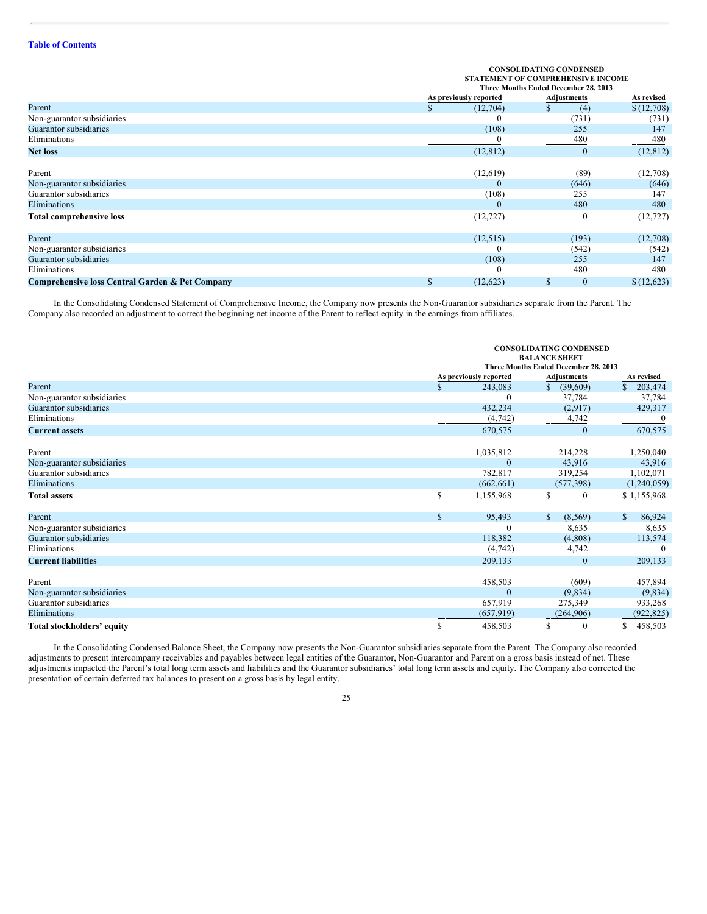#### **CONSOLIDATING CONDENSED STATEMENT OF COMPREHENSIVE INCOME Three Months Ended December 28, 2013 As previously reported Adjustments As revised**<br> **C**  $(12,704)$  **B**  $(4)$  **As revised C**  $(12,708)$ Parent  $\frac{1}{2}$  (12,704)  $\frac{1}{2}$  (12,704)  $\frac{1}{2}$  (4)  $\frac{1}{2}$  (12,708) Non-guarantor subsidiaries (731) (731) (731) (731) (731) (731) (731) (731) (731) (731) (731) (731) (731) (731) Guarantor subsidiaries Eliminations **and the set of the set of the set of the set of the set of the set of the set of the set of the set of the set of the set of the set of the set of the set of the set of the set of the set of the set of the se Net loss** (12,812) 0 (12,812) Parent (12,619) (89) (12,708) Non-guarantor subsidiaries (646) (646) (646) (646) (646) Guarantor subsidiaries (108) 255 147 Eliminations 0 480 480 **Total comprehensive loss** (12,727) 0 (12,727) Parent (12,515) (13,708) (12,708) Non-guarantor subsidiaries (542) (542) (542) (542) (542) (542) (542) (542) (542) (542) (542) (542) (542) (542) Guarantor subsidiaries (108) 255 147 Eliminations **and the set of the set of the set of the set of the set of the set of the set of the set of the set of the set of the set of the set of the set of the set of the set of the set of the set of the set of the se Comprehensive loss Central Garden & Pet Company** \$ (12,623) \$ 0 \$ (12,623)

In the Consolidating Condensed Statement of Comprehensive Income, the Company now presents the Non-Guarantor subsidiaries separate from the Parent. The Company also recorded an adjustment to correct the beginning net income of the Parent to reflect equity in the earnings from affiliates.

|                            | <b>CONSOLIDATING CONDENSED</b><br><b>BALANCE SHEET</b> |                        |              |                    |     |             |
|----------------------------|--------------------------------------------------------|------------------------|--------------|--------------------|-----|-------------|
|                            | Three Months Ended December 28, 2013                   |                        |              |                    |     |             |
|                            |                                                        | As previously reported |              | <b>Adjustments</b> |     | As revised  |
| Parent                     | \$                                                     | 243,083                | $\mathbb{S}$ | (39,609)           | \$. | 203,474     |
| Non-guarantor subsidiaries |                                                        | 0                      |              | 37,784             |     | 37,784      |
| Guarantor subsidiaries     |                                                        | 432,234                |              | (2,917)            |     | 429,317     |
| Eliminations               |                                                        | (4, 742)               |              | 4,742              |     | $\bf{0}$    |
| <b>Current assets</b>      |                                                        | 670,575                |              | $\Omega$           |     | 670,575     |
| Parent                     |                                                        | 1,035,812              |              | 214,228            |     | 1,250,040   |
| Non-guarantor subsidiaries |                                                        | $\Omega$               |              | 43,916             |     | 43,916      |
| Guarantor subsidiaries     |                                                        | 782,817                |              | 319,254            |     | 1,102,071   |
| Eliminations               |                                                        | (662, 661)             |              | (577, 398)         |     | (1,240,059) |
| <b>Total assets</b>        | \$                                                     | 1,155,968              | \$           | $\mathbf{0}$       |     | \$1,155,968 |
| Parent                     | $\mathbb{S}$                                           | 95,493                 | \$           | (8,569)            | \$  | 86,924      |
| Non-guarantor subsidiaries |                                                        | $\Omega$               |              | 8,635              |     | 8,635       |
| Guarantor subsidiaries     |                                                        | 118,382                |              | (4,808)            |     | 113,574     |
| Eliminations               |                                                        | (4,742)                |              | 4,742              |     | $\theta$    |
| <b>Current liabilities</b> |                                                        | 209,133                |              | $\theta$           |     | 209,133     |
| Parent                     |                                                        | 458,503                |              | (609)              |     | 457,894     |
| Non-guarantor subsidiaries |                                                        | $\Omega$               |              | (9,834)            |     | (9,834)     |
| Guarantor subsidiaries     |                                                        | 657,919                |              | 275,349            |     | 933,268     |
| Eliminations               |                                                        | (657, 919)             |              | (264,906)          |     | (922, 825)  |
| Total stockholders' equity | \$                                                     | 458,503                | \$           | $\mathbf{0}$       |     | 458,503     |

In the Consolidating Condensed Balance Sheet, the Company now presents the Non-Guarantor subsidiaries separate from the Parent. The Company also recorded adjustments to present intercompany receivables and payables between legal entities of the Guarantor, Non-Guarantor and Parent on a gross basis instead of net. These adjustments impacted the Parent's total long term assets and liabilities and the Guarantor subsidiaries' total long term assets and equity. The Company also corrected the presentation of certain deferred tax balances to present on a gross basis by legal entity.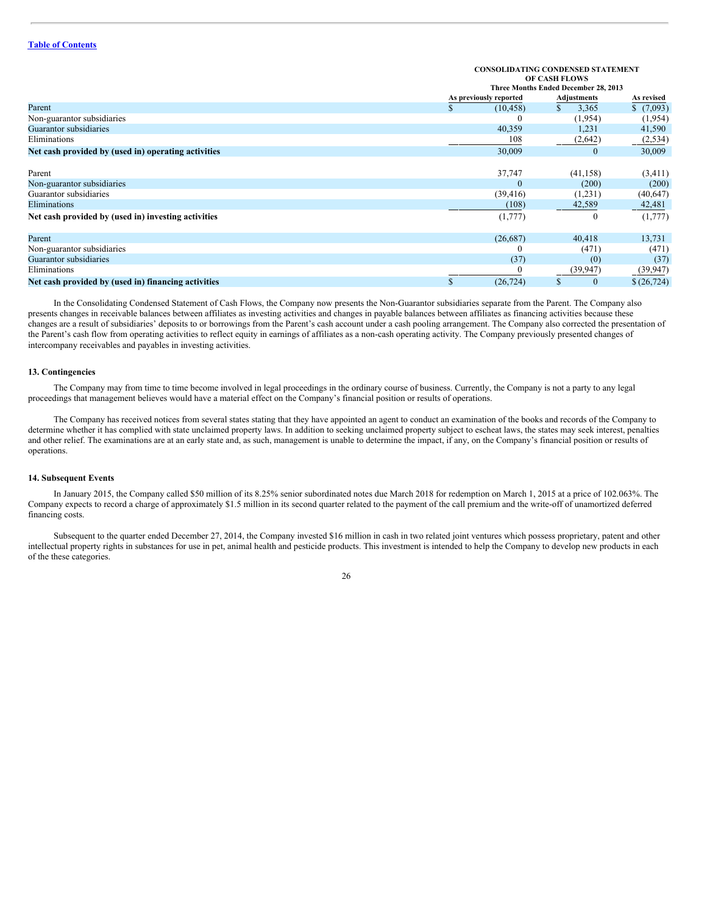|                                                     | <b>CONSOLIDATING CONDENSED STATEMENT</b> |                        |                                      |            |  |
|-----------------------------------------------------|------------------------------------------|------------------------|--------------------------------------|------------|--|
|                                                     |                                          | <b>OF CASH FLOWS</b>   |                                      |            |  |
|                                                     |                                          |                        | Three Months Ended December 28, 2013 |            |  |
|                                                     |                                          | As previously reported | <b>Adjustments</b>                   | As revised |  |
| Parent                                              | S                                        | (10, 458)              | 3,365                                | (7,093)    |  |
| Non-guarantor subsidiaries                          |                                          |                        | (1,954)                              | (1, 954)   |  |
| Guarantor subsidiaries                              |                                          | 40,359                 | 1,231                                | 41,590     |  |
| Eliminations                                        |                                          | 108                    | (2,642)                              | (2, 534)   |  |
| Net cash provided by (used in) operating activities |                                          | 30,009                 | $\theta$                             | 30,009     |  |
| Parent                                              |                                          | 37,747                 | (41, 158)                            | (3, 411)   |  |
| Non-guarantor subsidiaries                          |                                          | $\Omega$               | (200)                                | (200)      |  |
| Guarantor subsidiaries                              |                                          | (39, 416)              | (1,231)                              | (40, 647)  |  |
| Eliminations                                        |                                          | (108)                  | 42,589                               | 42,481     |  |
| Net cash provided by (used in) investing activities |                                          | (1,777)                | 0                                    | (1,777)    |  |
| Parent                                              |                                          | (26,687)               | 40,418                               | 13,731     |  |
| Non-guarantor subsidiaries                          |                                          |                        | (471)                                | (471)      |  |
| Guarantor subsidiaries                              |                                          | (37)                   | (0)                                  | (37)       |  |
| Eliminations                                        |                                          |                        | (39, 947)                            | (39, 947)  |  |
| Net cash provided by (used in) financing activities |                                          | (26, 724)              | $\mathbf{0}$                         | \$(26,724) |  |

In the Consolidating Condensed Statement of Cash Flows, the Company now presents the Non-Guarantor subsidiaries separate from the Parent. The Company also presents changes in receivable balances between affiliates as investing activities and changes in payable balances between affiliates as financing activities because these changes are a result of subsidiaries' deposits to or borrowings from the Parent's cash account under a cash pooling arrangement. The Company also corrected the presentation of the Parent's cash flow from operating activities to reflect equity in earnings of affiliates as a non-cash operating activity. The Company previously presented changes of intercompany receivables and payables in investing activities.

#### **13. Contingencies**

The Company may from time to time become involved in legal proceedings in the ordinary course of business. Currently, the Company is not a party to any legal proceedings that management believes would have a material effect on the Company's financial position or results of operations.

The Company has received notices from several states stating that they have appointed an agent to conduct an examination of the books and records of the Company to determine whether it has complied with state unclaimed property laws. In addition to seeking unclaimed property subject to escheat laws, the states may seek interest, penalties and other relief. The examinations are at an early state and, as such, management is unable to determine the impact, if any, on the Company's financial position or results of operations.

#### **14. Subsequent Events**

In January 2015, the Company called \$50 million of its 8.25% senior subordinated notes due March 2018 for redemption on March 1, 2015 at a price of 102.063%. The Company expects to record a charge of approximately \$1.5 million in its second quarter related to the payment of the call premium and the write-off of unamortized deferred financing costs.

Subsequent to the quarter ended December 27, 2014, the Company invested \$16 million in cash in two related joint ventures which possess proprietary, patent and other intellectual property rights in substances for use in pet, animal health and pesticide products. This investment is intended to help the Company to develop new products in each of the these categories.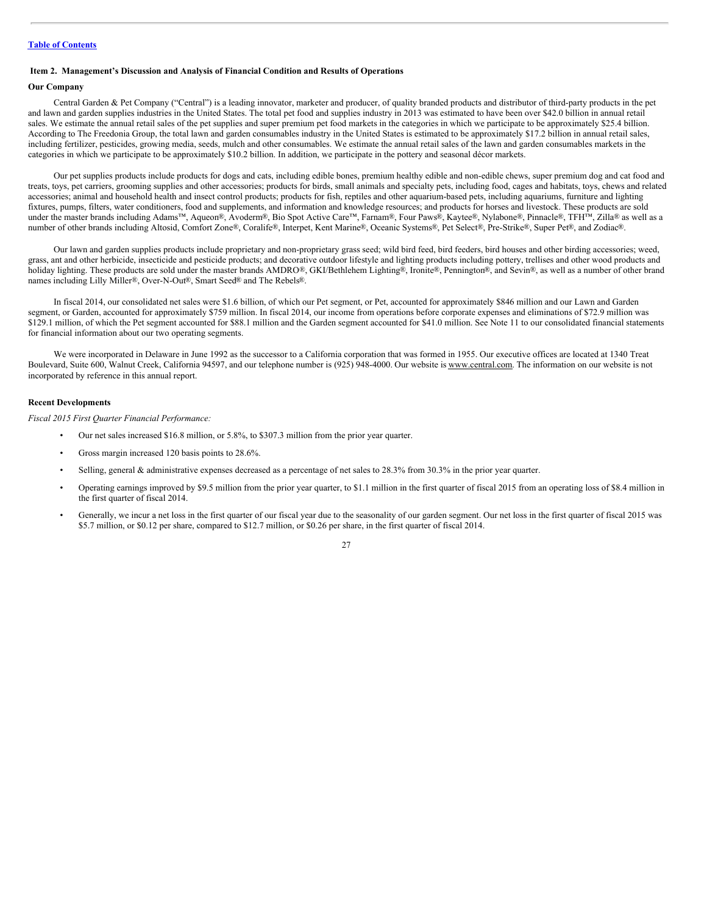#### <span id="page-26-0"></span>**Item 2. Management's Discussion and Analysis of Financial Condition and Results of Operations**

#### **Our Company**

Central Garden & Pet Company ("Central") is a leading innovator, marketer and producer, of quality branded products and distributor of third-party products in the pet and lawn and garden supplies industries in the United States. The total pet food and supplies industry in 2013 was estimated to have been over \$42.0 billion in annual retail sales. We estimate the annual retail sales of the pet supplies and super premium pet food markets in the categories in which we participate to be approximately \$25.4 billion. According to The Freedonia Group, the total lawn and garden consumables industry in the United States is estimated to be approximately \$17.2 billion in annual retail sales, including fertilizer, pesticides, growing media, seeds, mulch and other consumables. We estimate the annual retail sales of the lawn and garden consumables markets in the categories in which we participate to be approximately \$10.2 billion. In addition, we participate in the pottery and seasonal décor markets.

Our pet supplies products include products for dogs and cats, including edible bones, premium healthy edible and non-edible chews, super premium dog and cat food and treats, toys, pet carriers, grooming supplies and other accessories; products for birds, small animals and specialty pets, including food, cages and habitats, toys, chews and related accessories; animal and household health and insect control products; products for fish, reptiles and other aquarium-based pets, including aquariums, furniture and lighting fixtures, pumps, filters, water conditioners, food and supplements, and information and knowledge resources; and products for horses and livestock. These products are sold under the master brands including Adams™, Aqueon®, Avoderm®, Bio Spot Active Care™, Farnam®, Four Paws®, Kaytee®, Nylabone®, Pinnacle®, TFH™, Zilla® as well as a number of other brands including Altosid, Comfort Zone®, Coralife®, Interpet, Kent Marine®, Oceanic Systems®, Pet Select®, Pre-Strike®, Super Pet®, and Zodiac®.

Our lawn and garden supplies products include proprietary and non-proprietary grass seed; wild bird feed, bird feeders, bird houses and other birding accessories; weed, grass, ant and other herbicide, insecticide and pesticide products; and decorative outdoor lifestyle and lighting products including pottery, trellises and other wood products and holiday lighting. These products are sold under the master brands AMDRO®, GKI/Bethlehem Lighting®, Ironite®, Pennington®, and Sevin®, as well as a number of other brand names including Lilly Miller®, Over-N-Out®, Smart Seed® and The Rebels®.

In fiscal 2014, our consolidated net sales were \$1.6 billion, of which our Pet segment, or Pet, accounted for approximately \$846 million and our Lawn and Garden segment, or Garden, accounted for approximately \$759 million. In fiscal 2014, our income from operations before corporate expenses and eliminations of \$72.9 million was \$129.1 million, of which the Pet segment accounted for \$88.1 million and the Garden segment accounted for \$41.0 million. See Note 11 to our consolidated financial statements for financial information about our two operating segments.

We were incorporated in Delaware in June 1992 as the successor to a California corporation that was formed in 1955. Our executive offices are located at 1340 Treat Boulevard, Suite 600, Walnut Creek, California 94597, and our telephone number is (925) 948-4000. Our website is www.central.com. The information on our website is not incorporated by reference in this annual report.

#### **Recent Developments**

*Fiscal 2015 First Quarter Financial Performance:*

- Our net sales increased \$16.8 million, or 5.8%, to \$307.3 million from the prior year quarter.
	- Gross margin increased 120 basis points to 28.6%.
- Selling, general & administrative expenses decreased as a percentage of net sales to 28.3% from 30.3% in the prior year quarter.
- Operating earnings improved by \$9.5 million from the prior year quarter, to \$1.1 million in the first quarter of fiscal 2015 from an operating loss of \$8.4 million in the first quarter of fiscal 2014.
- Generally, we incur a net loss in the first quarter of our fiscal year due to the seasonality of our garden segment. Our net loss in the first quarter of fiscal 2015 was \$5.7 million, or \$0.12 per share, compared to \$12.7 million, or \$0.26 per share, in the first quarter of fiscal 2014.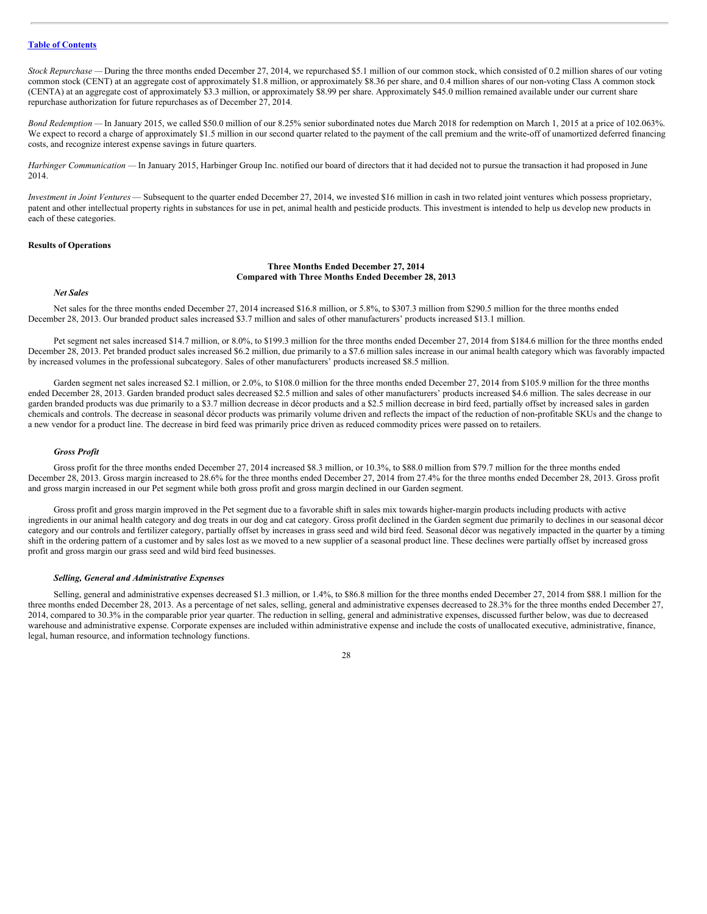*Stock Repurchase* — During the three months ended December 27, 2014, we repurchased \$5.1 million of our common stock, which consisted of 0.2 million shares of our voting common stock (CENT) at an aggregate cost of approximately \$1.8 million, or approximately \$8.36 per share, and 0.4 million shares of our non-voting Class A common stock (CENTA) at an aggregate cost of approximately \$3.3 million, or approximately \$8.99 per share. Approximately \$45.0 million remained available under our current share repurchase authorization for future repurchases as of December 27, 2014*.*

*Bond Redemption —* In January 2015, we called \$50.0 million of our 8.25% senior subordinated notes due March 2018 for redemption on March 1, 2015 at a price of 102.063%. We expect to record a charge of approximately \$1.5 million in our second quarter related to the payment of the call premium and the write-off of unamortized deferred financing costs, and recognize interest expense savings in future quarters.

Harbinger Communication - In January 2015, Harbinger Group Inc. notified our board of directors that it had decided not to pursue the transaction it had proposed in June 2014.

*Investment in Joint Ventures*— Subsequent to the quarter ended December 27, 2014, we invested \$16 million in cash in two related joint ventures which possess proprietary, patent and other intellectual property rights in substances for use in pet, animal health and pesticide products. This investment is intended to help us develop new products in each of these categories.

#### **Results of Operations**

#### **Three Months Ended December 27, 2014 Compared with Three Months Ended December 28, 2013**

#### *Net Sales*

Net sales for the three months ended December 27, 2014 increased \$16.8 million, or 5.8%, to \$307.3 million from \$290.5 million for the three months ended December 28, 2013. Our branded product sales increased \$3.7 million and sales of other manufacturers' products increased \$13.1 million.

Pet segment net sales increased \$14.7 million, or 8.0%, to \$199.3 million for the three months ended December 27, 2014 from \$184.6 million for the three months ended December 28, 2013. Pet branded product sales increased \$6.2 million, due primarily to a \$7.6 million sales increase in our animal health category which was favorably impacted by increased volumes in the professional subcategory. Sales of other manufacturers' products increased \$8.5 million.

Garden segment net sales increased \$2.1 million, or 2.0%, to \$108.0 million for the three months ended December 27, 2014 from \$105.9 million for the three months ended December 28, 2013. Garden branded product sales decreased \$2.5 million and sales of other manufacturers' products increased \$4.6 million. The sales decrease in our garden branded products was due primarily to a \$3.7 million decrease in décor products and a \$2.5 million decrease in bird feed, partially offset by increased sales in garden chemicals and controls. The decrease in seasonal décor products was primarily volume driven and reflects the impact of the reduction of non-profitable SKUs and the change to a new vendor for a product line. The decrease in bird feed was primarily price driven as reduced commodity prices were passed on to retailers.

#### *Gross Profit*

Gross profit for the three months ended December 27, 2014 increased \$8.3 million, or 10.3%, to \$88.0 million from \$79.7 million for the three months ended December 28, 2013. Gross margin increased to 28.6% for the three months ended December 27, 2014 from 27.4% for the three months ended December 28, 2013. Gross profit and gross margin increased in our Pet segment while both gross profit and gross margin declined in our Garden segment.

Gross profit and gross margin improved in the Pet segment due to a favorable shift in sales mix towards higher-margin products including products with active ingredients in our animal health category and dog treats in our dog and cat category. Gross profit declined in the Garden segment due primarily to declines in our seasonal décor category and our controls and fertilizer category, partially offset by increases in grass seed and wild bird feed. Seasonal décor was negatively impacted in the quarter by a timing shift in the ordering pattern of a customer and by sales lost as we moved to a new supplier of a seasonal product line. These declines were partially offset by increased gross profit and gross margin our grass seed and wild bird feed businesses.

#### *Selling, General and Administrative Expenses*

Selling, general and administrative expenses decreased \$1.3 million, or 1.4%, to \$86.8 million for the three months ended December 27, 2014 from \$88.1 million for the three months ended December 28, 2013. As a percentage of net sales, selling, general and administrative expenses decreased to 28.3% for the three months ended December 27, 2014, compared to 30.3% in the comparable prior year quarter. The reduction in selling, general and administrative expenses, discussed further below, was due to decreased warehouse and administrative expense. Corporate expenses are included within administrative expense and include the costs of unallocated executive, administrative, finance, legal, human resource, and information technology functions.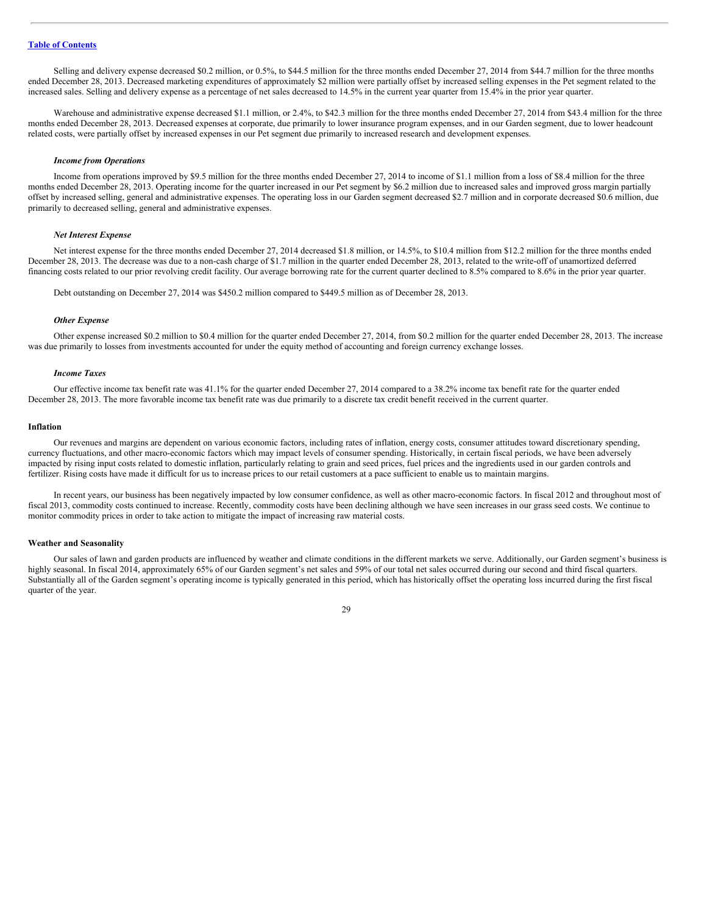Selling and delivery expense decreased \$0.2 million, or 0.5%, to \$44.5 million for the three months ended December 27, 2014 from \$44.7 million for the three months ended December 28, 2013. Decreased marketing expenditures of approximately \$2 million were partially offset by increased selling expenses in the Pet segment related to the increased sales. Selling and delivery expense as a percentage of net sales decreased to 14.5% in the current year quarter from 15.4% in the prior year quarter.

Warehouse and administrative expense decreased \$1.1 million, or 2.4%, to \$42.3 million for the three months ended December 27, 2014 from \$43.4 million for the three months ended December 28, 2013. Decreased expenses at corporate, due primarily to lower insurance program expenses, and in our Garden segment, due to lower headcount related costs, were partially offset by increased expenses in our Pet segment due primarily to increased research and development expenses.

#### *Income from Operations*

Income from operations improved by \$9.5 million for the three months ended December 27, 2014 to income of \$1.1 million from a loss of \$8.4 million for the three months ended December 28, 2013. Operating income for the quarter increased in our Pet segment by \$6.2 million due to increased sales and improved gross margin partially offset by increased selling, general and administrative expenses. The operating loss in our Garden segment decreased \$2.7 million and in corporate decreased \$0.6 million, due primarily to decreased selling, general and administrative expenses.

#### *Net Interest Expense*

Net interest expense for the three months ended December 27, 2014 decreased \$1.8 million, or 14.5%, to \$10.4 million from \$12.2 million for the three months ended December 28, 2013. The decrease was due to a non-cash charge of \$1.7 million in the quarter ended December 28, 2013, related to the write-off of unamortized deferred financing costs related to our prior revolving credit facility. Our average borrowing rate for the current quarter declined to 8.5% compared to 8.6% in the prior year quarter.

Debt outstanding on December 27, 2014 was \$450.2 million compared to \$449.5 million as of December 28, 2013.

#### *Other Expense*

Other expense increased \$0.2 million to \$0.4 million for the quarter ended December 27, 2014, from \$0.2 million for the quarter ended December 28, 2013. The increase was due primarily to losses from investments accounted for under the equity method of accounting and foreign currency exchange losses.

#### *Income Taxes*

Our effective income tax benefit rate was 41.1% for the quarter ended December 27, 2014 compared to a 38.2% income tax benefit rate for the quarter ended December 28, 2013. The more favorable income tax benefit rate was due primarily to a discrete tax credit benefit received in the current quarter.

#### **Inflation**

Our revenues and margins are dependent on various economic factors, including rates of inflation, energy costs, consumer attitudes toward discretionary spending, currency fluctuations, and other macro-economic factors which may impact levels of consumer spending. Historically, in certain fiscal periods, we have been adversely impacted by rising input costs related to domestic inflation, particularly relating to grain and seed prices, fuel prices and the ingredients used in our garden controls and fertilizer. Rising costs have made it difficult for us to increase prices to our retail customers at a pace sufficient to enable us to maintain margins.

In recent years, our business has been negatively impacted by low consumer confidence, as well as other macro-economic factors. In fiscal 2012 and throughout most of fiscal 2013, commodity costs continued to increase. Recently, commodity costs have been declining although we have seen increases in our grass seed costs. We continue to monitor commodity prices in order to take action to mitigate the impact of increasing raw material costs.

#### **Weather and Seasonality**

Our sales of lawn and garden products are influenced by weather and climate conditions in the different markets we serve. Additionally, our Garden segment's business is highly seasonal. In fiscal 2014, approximately 65% of our Garden segment's net sales and 59% of our total net sales occurred during our second and third fiscal quarters. Substantially all of the Garden segment's operating income is typically generated in this period, which has historically offset the operating loss incurred during the first fiscal quarter of the year.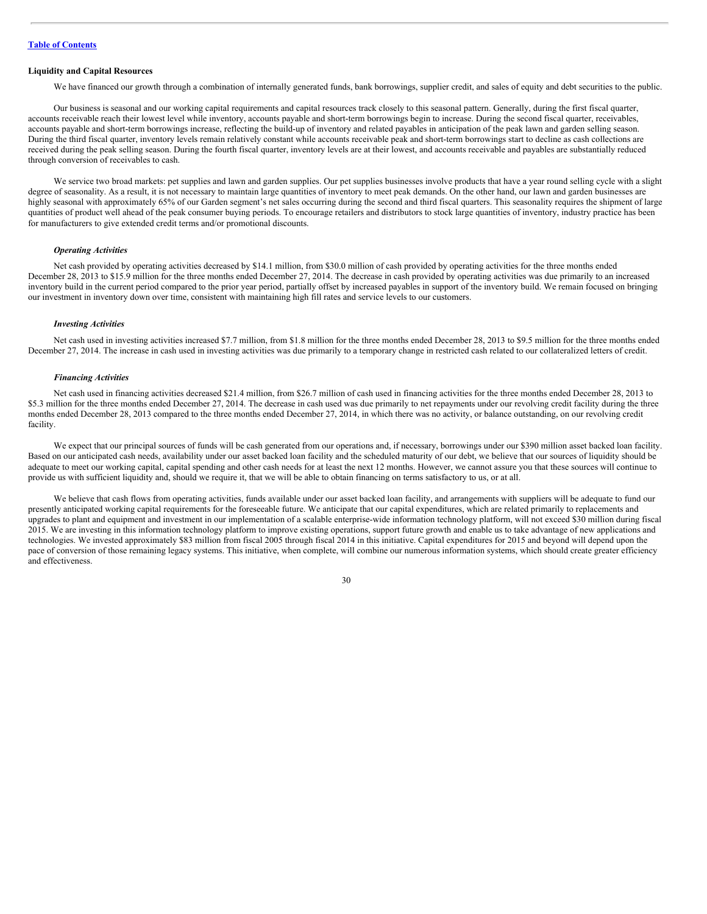#### **Liquidity and Capital Resources**

We have financed our growth through a combination of internally generated funds, bank borrowings, supplier credit, and sales of equity and debt securities to the public.

Our business is seasonal and our working capital requirements and capital resources track closely to this seasonal pattern. Generally, during the first fiscal quarter, accounts receivable reach their lowest level while inventory, accounts payable and short-term borrowings begin to increase. During the second fiscal quarter, receivables, accounts payable and short-term borrowings increase, reflecting the build-up of inventory and related payables in anticipation of the peak lawn and garden selling season. During the third fiscal quarter, inventory levels remain relatively constant while accounts receivable peak and short-term borrowings start to decline as cash collections are received during the peak selling season. During the fourth fiscal quarter, inventory levels are at their lowest, and accounts receivable and payables are substantially reduced through conversion of receivables to cash.

We service two broad markets: pet supplies and lawn and garden supplies. Our pet supplies businesses involve products that have a year round selling cycle with a slight degree of seasonality. As a result, it is not necessary to maintain large quantities of inventory to meet peak demands. On the other hand, our lawn and garden businesses are highly seasonal with approximately 65% of our Garden segment's net sales occurring during the second and third fiscal quarters. This seasonality requires the shipment of large quantities of product well ahead of the peak consumer buying periods. To encourage retailers and distributors to stock large quantities of inventory, industry practice has been for manufacturers to give extended credit terms and/or promotional discounts.

#### *Operating Activities*

Net cash provided by operating activities decreased by \$14.1 million, from \$30.0 million of cash provided by operating activities for the three months ended December 28, 2013 to \$15.9 million for the three months ended December 27, 2014. The decrease in cash provided by operating activities was due primarily to an increased inventory build in the current period compared to the prior year period, partially offset by increased payables in support of the inventory build. We remain focused on bringing our investment in inventory down over time, consistent with maintaining high fill rates and service levels to our customers.

#### *Investing Activities*

Net cash used in investing activities increased \$7.7 million, from \$1.8 million for the three months ended December 28, 2013 to \$9.5 million for the three months ended December 27, 2014. The increase in cash used in investing activities was due primarily to a temporary change in restricted cash related to our collateralized letters of credit.

#### *Financing Activities*

Net cash used in financing activities decreased \$21.4 million, from \$26.7 million of cash used in financing activities for the three months ended December 28, 2013 to \$5.3 million for the three months ended December 27, 2014. The decrease in cash used was due primarily to net repayments under our revolving credit facility during the three months ended December 28, 2013 compared to the three months ended December 27, 2014, in which there was no activity, or balance outstanding, on our revolving credit facility.

We expect that our principal sources of funds will be cash generated from our operations and, if necessary, borrowings under our \$390 million asset backed loan facility. Based on our anticipated cash needs, availability under our asset backed loan facility and the scheduled maturity of our debt, we believe that our sources of liquidity should be adequate to meet our working capital, capital spending and other cash needs for at least the next 12 months. However, we cannot assure you that these sources will continue to provide us with sufficient liquidity and, should we require it, that we will be able to obtain financing on terms satisfactory to us, or at all.

We believe that cash flows from operating activities, funds available under our asset backed loan facility, and arrangements with suppliers will be adequate to fund our presently anticipated working capital requirements for the foreseeable future. We anticipate that our capital expenditures, which are related primarily to replacements and upgrades to plant and equipment and investment in our implementation of a scalable enterprise-wide information technology platform, will not exceed \$30 million during fiscal 2015. We are investing in this information technology platform to improve existing operations, support future growth and enable us to take advantage of new applications and technologies. We invested approximately \$83 million from fiscal 2005 through fiscal 2014 in this initiative. Capital expenditures for 2015 and beyond will depend upon the pace of conversion of those remaining legacy systems. This initiative, when complete, will combine our numerous information systems, which should create greater efficiency and effectiveness.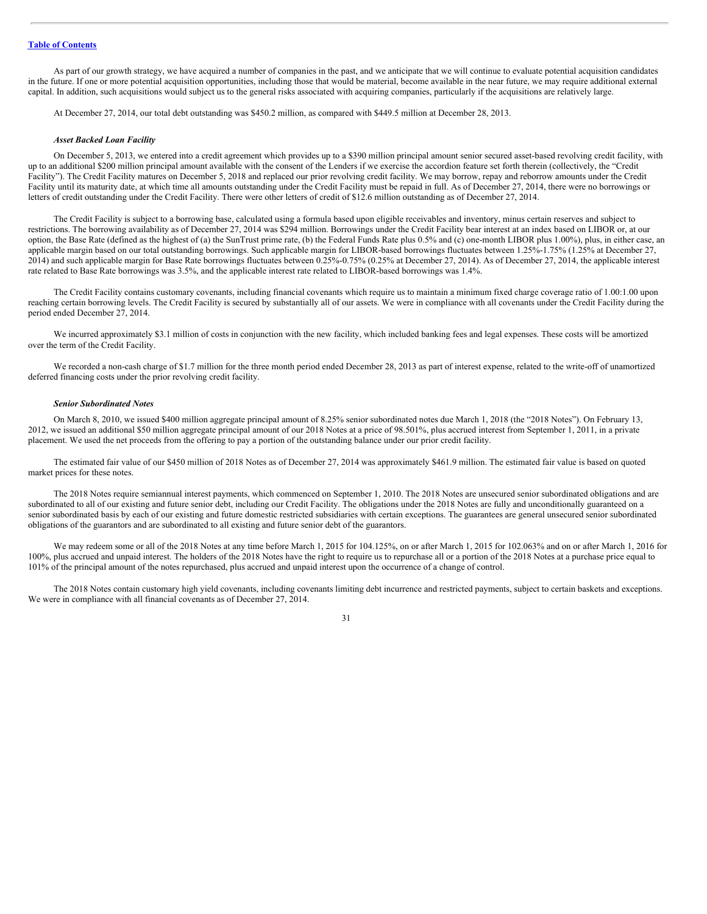As part of our growth strategy, we have acquired a number of companies in the past, and we anticipate that we will continue to evaluate potential acquisition candidates in the future. If one or more potential acquisition opportunities, including those that would be material, become available in the near future, we may require additional external capital. In addition, such acquisitions would subject us to the general risks associated with acquiring companies, particularly if the acquisitions are relatively large.

At December 27, 2014, our total debt outstanding was \$450.2 million, as compared with \$449.5 million at December 28, 2013.

#### *Asset Backed Loan Facility*

On December 5, 2013, we entered into a credit agreement which provides up to a \$390 million principal amount senior secured asset-based revolving credit facility, with up to an additional \$200 million principal amount available with the consent of the Lenders if we exercise the accordion feature set forth therein (collectively, the "Credit Facility"). The Credit Facility matures on December 5, 2018 and replaced our prior revolving credit facility. We may borrow, repay and reborrow amounts under the Credit Facility until its maturity date, at which time all amounts outstanding under the Credit Facility must be repaid in full. As of December 27, 2014, there were no borrowings or letters of credit outstanding under the Credit Facility. There were other letters of credit of \$12.6 million outstanding as of December 27, 2014.

The Credit Facility is subject to a borrowing base, calculated using a formula based upon eligible receivables and inventory, minus certain reserves and subject to restrictions. The borrowing availability as of December 27, 2014 was \$294 million. Borrowings under the Credit Facility bear interest at an index based on LIBOR or, at our option, the Base Rate (defined as the highest of (a) the SunTrust prime rate, (b) the Federal Funds Rate plus 0.5% and (c) one-month LIBOR plus 1.00%), plus, in either case, an applicable margin based on our total outstanding borrowings. Such applicable margin for LIBOR-based borrowings fluctuates between 1.25%-1.75% (1.25% at December 27,  $2014$ ) and such applicable margin for Base Rate borrowings fluctuates between 0.25%-0.75% (0.25% at December 27, 2014). As of December 27, 2014, the applicable interest rate related to Base Rate borrowings was 3.5%, and the applicable interest rate related to LIBOR-based borrowings was 1.4%.

The Credit Facility contains customary covenants, including financial covenants which require us to maintain a minimum fixed charge coverage ratio of 1.00:1.00 upon reaching certain borrowing levels. The Credit Facility is secured by substantially all of our assets. We were in compliance with all covenants under the Credit Facility during the period ended December 27, 2014.

We incurred approximately \$3.1 million of costs in conjunction with the new facility, which included banking fees and legal expenses. These costs will be amortized over the term of the Credit Facility.

We recorded a non-cash charge of \$1.7 million for the three month period ended December 28, 2013 as part of interest expense, related to the write-off of unamortized deferred financing costs under the prior revolving credit facility.

#### *Senior Subordinated Notes*

On March 8, 2010, we issued \$400 million aggregate principal amount of 8.25% senior subordinated notes due March 1, 2018 (the "2018 Notes"). On February 13, 2012, we issued an additional \$50 million aggregate principal amount of our 2018 Notes at a price of 98.501%, plus accrued interest from September 1, 2011, in a private placement. We used the net proceeds from the offering to pay a portion of the outstanding balance under our prior credit facility.

The estimated fair value of our \$450 million of 2018 Notes as of December 27, 2014 was approximately \$461.9 million. The estimated fair value is based on quoted market prices for these notes.

The 2018 Notes require semiannual interest payments, which commenced on September 1, 2010. The 2018 Notes are unsecured senior subordinated obligations and are subordinated to all of our existing and future senior debt, including our Credit Facility. The obligations under the 2018 Notes are fully and unconditionally guaranteed on a senior subordinated basis by each of our existing and future domestic restricted subsidiaries with certain exceptions. The guarantees are general unsecured senior subordinated obligations of the guarantors and are subordinated to all existing and future senior debt of the guarantors.

We may redeem some or all of the 2018 Notes at any time before March 1, 2015 for 104.125%, on or after March 1, 2015 for 102.063% and on or after March 1, 2016 for 100%, plus accrued and unpaid interest. The holders of the 2018 Notes have the right to require us to repurchase all or a portion of the 2018 Notes at a purchase price equal to 101% of the principal amount of the notes repurchased, plus accrued and unpaid interest upon the occurrence of a change of control.

The 2018 Notes contain customary high yield covenants, including covenants limiting debt incurrence and restricted payments, subject to certain baskets and exceptions. We were in compliance with all financial covenants as of December 27, 2014.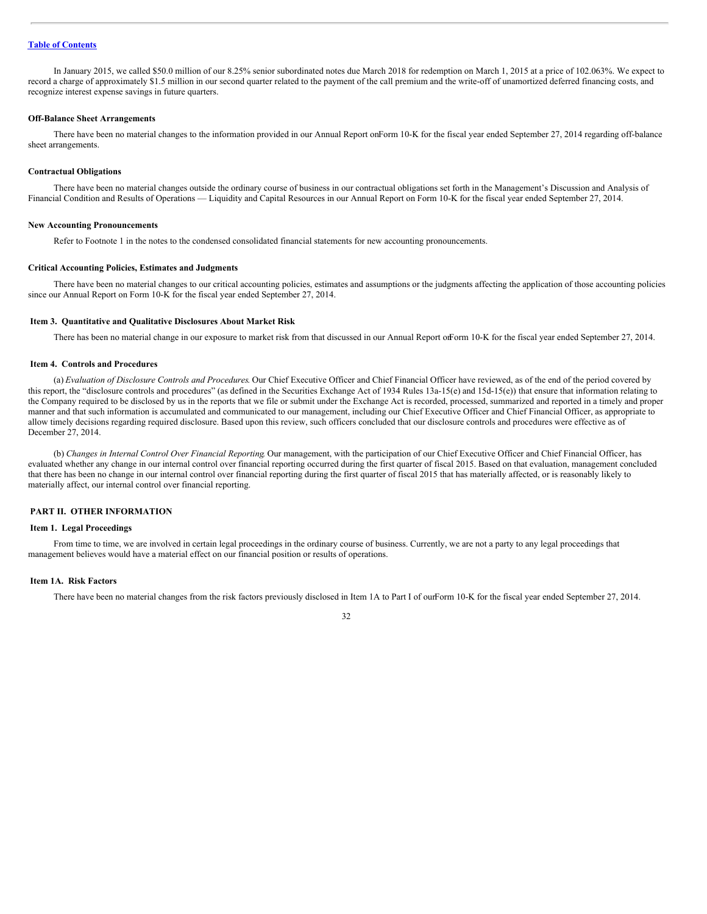In January 2015, we called \$50.0 million of our 8.25% senior subordinated notes due March 2018 for redemption on March 1, 2015 at a price of 102.063%. We expect to record a charge of approximately \$1.5 million in our second quarter related to the payment of the call premium and the write-off of unamortized deferred financing costs, and recognize interest expense savings in future quarters.

#### **Off-Balance Sheet Arrangements**

There have been no material changes to the information provided in our Annual Report onForm 10-K for the fiscal year ended September 27, 2014 regarding off-balance sheet arrangements.

#### **Contractual Obligations**

There have been no material changes outside the ordinary course of business in our contractual obligations set forth in the Management's Discussion and Analysis of Financial Condition and Results of Operations — Liquidity and Capital Resources in our Annual Report on Form 10-K for the fiscal year ended September 27, 2014.

#### **New Accounting Pronouncements**

Refer to Footnote 1 in the notes to the condensed consolidated financial statements for new accounting pronouncements.

#### **Critical Accounting Policies, Estimates and Judgments**

There have been no material changes to our critical accounting policies, estimates and assumptions or the judgments affecting the application of those accounting policies since our Annual Report on Form 10-K for the fiscal year ended September 27, 2014.

#### <span id="page-31-0"></span>**Item 3. Quantitative and Qualitative Disclosures About Market Risk**

There has been no material change in our exposure to market risk from that discussed in our Annual Report onForm 10-K for the fiscal year ended September 27, 2014.

#### <span id="page-31-1"></span>**Item 4. Controls and Procedures**

(a) *Evaluation of Disclosure Controls and Procedures*. Our Chief Executive Officer and Chief Financial Officer have reviewed, as of the end of the period covered by this report, the "disclosure controls and procedures" (as defined in the Securities Exchange Act of 1934 Rules 13a-15(e) and 15d-15(e)) that ensure that information relating to the Company required to be disclosed by us in the reports that we file or submit under the Exchange Act is recorded, processed, summarized and reported in a timely and proper manner and that such information is accumulated and communicated to our management, including our Chief Executive Officer and Chief Financial Officer, as appropriate to allow timely decisions regarding required disclosure. Based upon this review, such officers concluded that our disclosure controls and procedures were effective as of December 27, 2014.

(b) *Changes in Internal Control Over Financial Reporting*. Our management, with the participation of our Chief Executive Officer and Chief Financial Officer, has evaluated whether any change in our internal control over financial reporting occurred during the first quarter of fiscal 2015. Based on that evaluation, management concluded that there has been no change in our internal control over financial reporting during the first quarter of fiscal 2015 that has materially affected, or is reasonably likely to materially affect, our internal control over financial reporting.

#### <span id="page-31-2"></span>**PART II. OTHER INFORMATION**

#### <span id="page-31-3"></span>**Item 1. Legal Proceedings**

From time to time, we are involved in certain legal proceedings in the ordinary course of business. Currently, we are not a party to any legal proceedings that management believes would have a material effect on our financial position or results of operations.

#### <span id="page-31-4"></span>**Item 1A. Risk Factors**

There have been no material changes from the risk factors previously disclosed in Item 1A to Part I of ourForm 10-K for the fiscal year ended September 27, 2014.

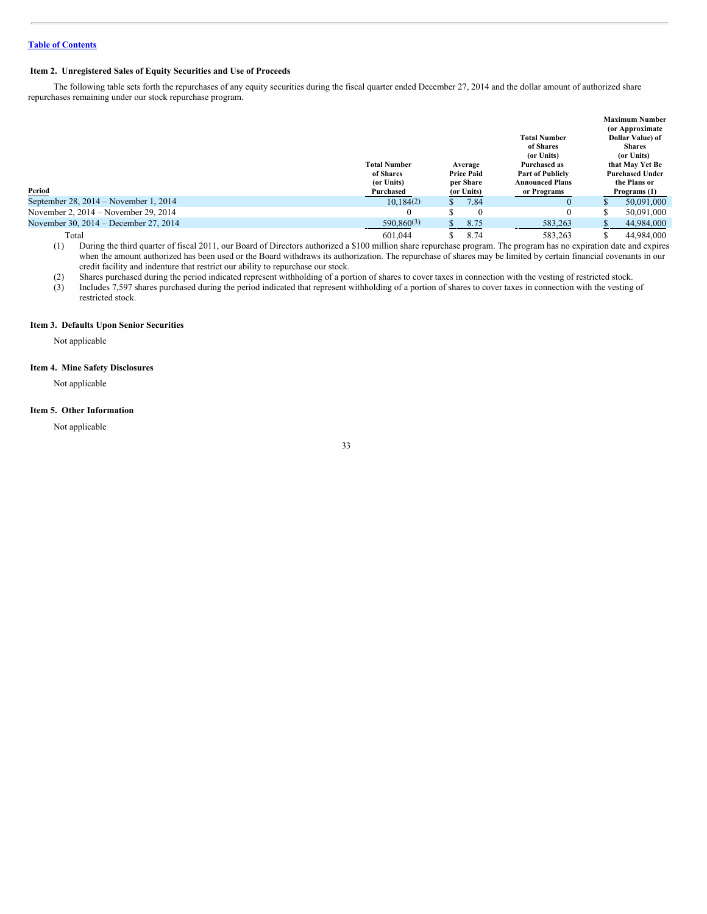#### <span id="page-32-0"></span>**Item 2. Unregistered Sales of Equity Securities and Use of Proceeds**

The following table sets forth the repurchases of any equity securities during the fiscal quarter ended December 27, 2014 and the dollar amount of authorized share repurchases remaining under our stock repurchase program.

| Period                                | <b>Total Number</b><br>of Shares<br>(or Units)<br>Purchased | Average<br><b>Price Paid</b><br>per Share<br>(or Units) | <b>Total Number</b><br>of Shares<br>(or Units)<br>Purchased as<br><b>Part of Publicly</b><br><b>Announced Plans</b><br>or Programs | <b>Maximum Number</b><br>(or Approximate)<br><b>Dollar Value)</b> of<br><b>Shares</b><br>(or Units)<br>that May Yet Be<br><b>Purchased Under</b><br>the Plans or<br>Programs (1) |
|---------------------------------------|-------------------------------------------------------------|---------------------------------------------------------|------------------------------------------------------------------------------------------------------------------------------------|----------------------------------------------------------------------------------------------------------------------------------------------------------------------------------|
| September 28, 2014 – November 1, 2014 | 10.184(2)                                                   | 7.84                                                    |                                                                                                                                    | 50,091,000                                                                                                                                                                       |
| November 2, 2014 – November 29, 2014  | 0                                                           | $\Omega$                                                |                                                                                                                                    | 50,091,000                                                                                                                                                                       |
| November 30, 2014 – December 27, 2014 | 590,860(3)                                                  | 8.75                                                    | 583,263                                                                                                                            | 44,984,000                                                                                                                                                                       |
| Total                                 | 601.044                                                     | 8.74                                                    | 583.263                                                                                                                            | 44.984.000                                                                                                                                                                       |

(1) During the third quarter of fiscal 2011, our Board of Directors authorized a \$100 million share repurchase program. The program has no expiration date and expires when the amount authorized has been used or the Board withdraws its authorization. The repurchase of shares may be limited by certain financial covenants in our credit facility and indenture that restrict our ability to repurchase our stock.

(2) Shares purchased during the period indicated represent withholding of a portion of shares to cover taxes in connection with the vesting of restricted stock.

(3) Includes 7,597 shares purchased during the period indicated that represent withholding of a portion of shares to cover taxes in connection with the vesting of restricted stock.

#### <span id="page-32-1"></span>**Item 3. Defaults Upon Senior Securities**

Not applicable

#### <span id="page-32-2"></span>**Item 4. Mine Safety Disclosures**

Not applicable

#### <span id="page-32-3"></span>**Item 5. Other Information**

Not applicable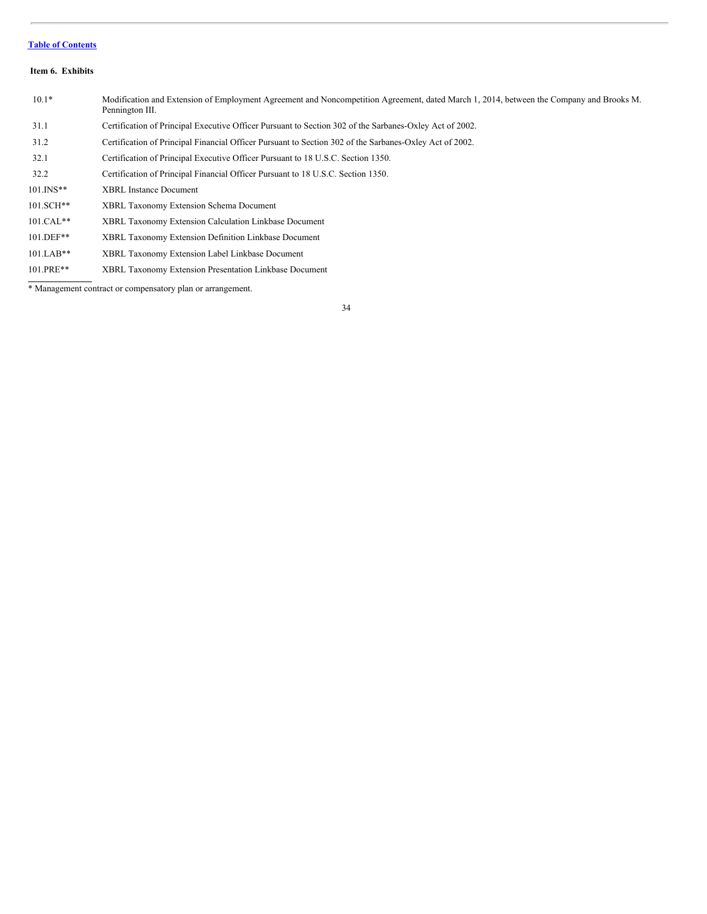#### <span id="page-33-0"></span>**Item 6. Exhibits**

| $10.1*$      | Modification and Extension of Employment Agreement and Noncompetition Agreement, dated March 1, 2014, between the Company and Brooks M.<br>Pennington III. |
|--------------|------------------------------------------------------------------------------------------------------------------------------------------------------------|
| 31.1         | Certification of Principal Executive Officer Pursuant to Section 302 of the Sarbanes-Oxley Act of 2002.                                                    |
| 31.2         | Certification of Principal Financial Officer Pursuant to Section 302 of the Sarbanes-Oxley Act of 2002.                                                    |
| 32.1         | Certification of Principal Executive Officer Pursuant to 18 U.S.C. Section 1350.                                                                           |
| 32.2         | Certification of Principal Financial Officer Pursuant to 18 U.S.C. Section 1350.                                                                           |
| $101.$ INS** | <b>XBRL</b> Instance Document                                                                                                                              |
| 101.SCH**    | <b>XBRL Taxonomy Extension Schema Document</b>                                                                                                             |
| 101.CAL**    | XBRL Taxonomy Extension Calculation Linkbase Document                                                                                                      |
| 101.DEF**    | XBRL Taxonomy Extension Definition Linkbase Document                                                                                                       |
| $101.LAB**$  | XBRL Taxonomy Extension Label Linkbase Document                                                                                                            |
| 101.PRE**    | <b>XBRL Taxonomy Extension Presentation Linkbase Document</b>                                                                                              |

\* Management contract or compensatory plan or arrangement.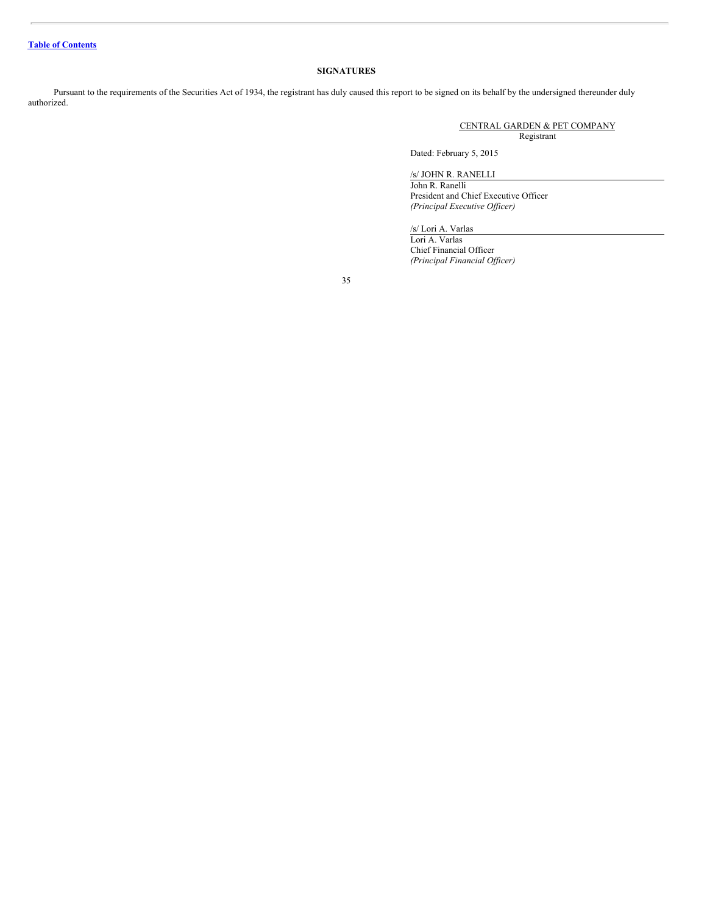#### **SIGNATURES**

Pursuant to the requirements of the Securities Act of 1934, the registrant has duly caused this report to be signed on its behalf by the undersigned thereunder duly authorized.

> CENTRAL GARDEN & PET COMPANY Registrant

Dated: February 5, 2015

/s/ JOHN R. RANELLI

John R. Ranelli President and Chief Executive Officer *(Principal Executive Of icer)*

/s/ Lori A. Varlas

Lori A. Varlas Chief Financial Officer *(Principal Financial Of icer)*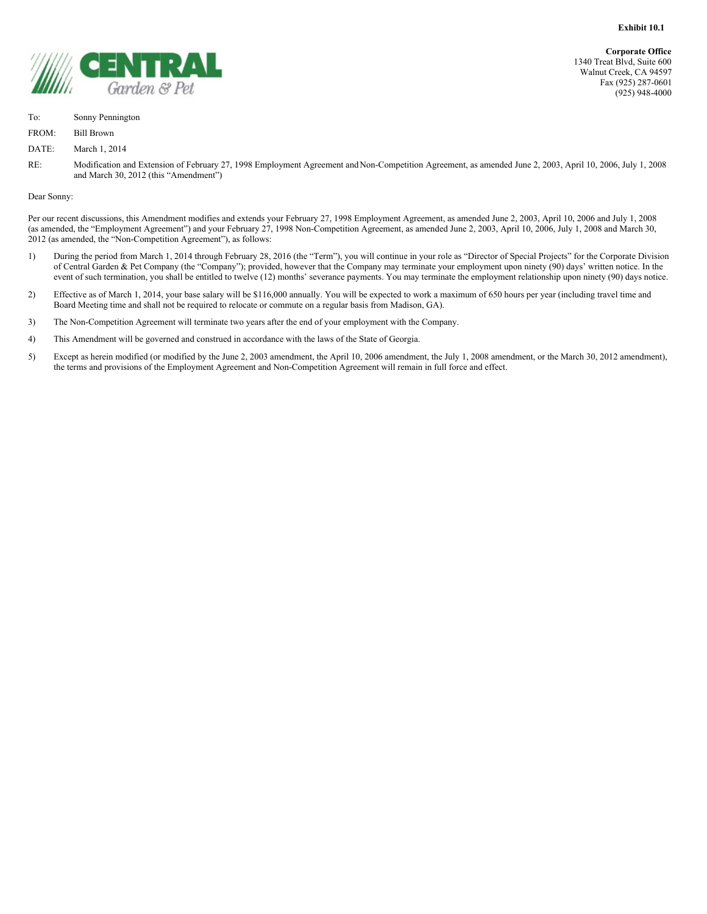

**Corporate Office** 1340 Treat Blvd, Suite 600 Walnut Creek, CA 94597 Fax (925) 287-0601 (925) 948-4000

| To: | Sonny Pennington |
|-----|------------------|
|-----|------------------|

FROM: Bill Brown

DATE: March 1, 2014

RE: Modification and Extension of February 27, 1998 Employment Agreement and Non-Competition Agreement, as amended June 2, 2003, April 10, 2006, July 1, 2008 and March 30, 2012 (this "Amendment")

#### Dear Sonny:

Per our recent discussions, this Amendment modifies and extends your February 27, 1998 Employment Agreement, as amended June 2, 2003, April 10, 2006 and July 1, 2008 (as amended, the "Employment Agreement") and your February 27, 1998 Non-Competition Agreement, as amended June 2, 2003, April 10, 2006, July 1, 2008 and March 30, 2012 (as amended, the "Non-Competition Agreement"), as follows:

- 1) During the period from March 1, 2014 through February 28, 2016 (the "Term"), you will continue in your role as "Director of Special Projects" for the Corporate Division of Central Garden & Pet Company (the "Company"); provided, however that the Company may terminate your employment upon ninety (90) days' written notice. In the event of such termination, you shall be entitled to twelve (12) months' severance payments. You may terminate the employment relationship upon ninety (90) days notice.
- 2) Effective as of March 1, 2014, your base salary will be \$116,000 annually. You will be expected to work a maximum of 650 hours per year (including travel time and Board Meeting time and shall not be required to relocate or commute on a regular basis from Madison, GA).
- 3) The Non-Competition Agreement will terminate two years after the end of your employment with the Company.
- 4) This Amendment will be governed and construed in accordance with the laws of the State of Georgia.
- 5) Except as herein modified (or modified by the June 2, 2003 amendment, the April 10, 2006 amendment, the July 1, 2008 amendment, or the March 30, 2012 amendment), the terms and provisions of the Employment Agreement and Non-Competition Agreement will remain in full force and effect.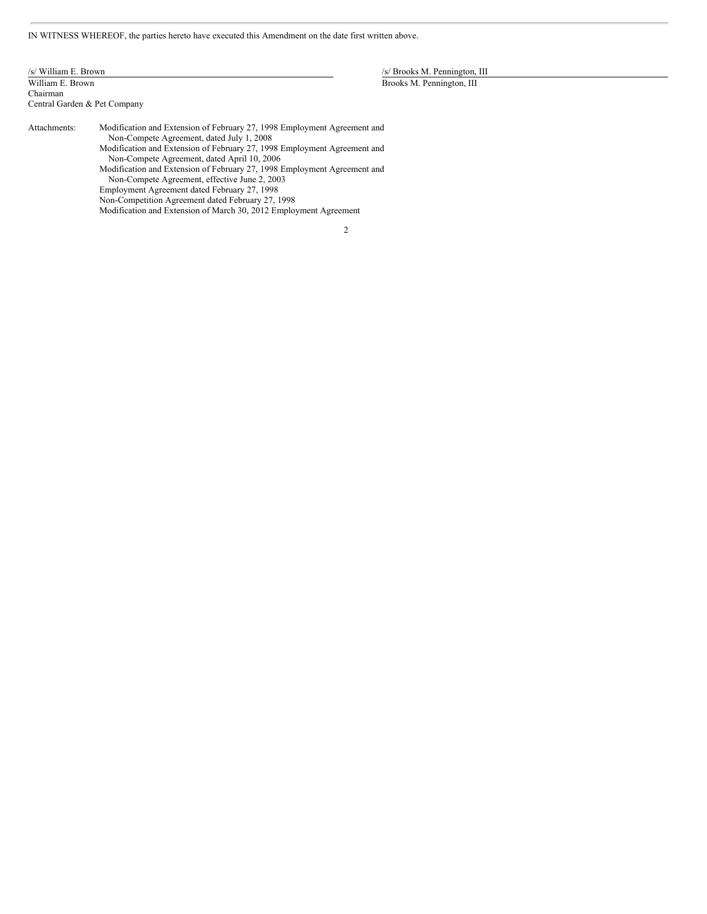IN WITNESS WHEREOF, the parties hereto have executed this Amendment on the date first written above.

 $\frac{1}{S}$ /S/ William E. Brown /s/ William E. Brown /s/ Brooks M. Pennington, III /s/ Brooks M. Pennington, III /s/ Brooks M. Pennington, III

Chairman

Central Garden & Pet Company

Attachments: Modification and Extension of February 27, 1998 Employment Agreement and Non-Compete Agreement, dated July 1, 2008 Modification and Extension of February 27, 1998 Employment Agreement and Non-Compete Agreement, dated April 10, 2006

Modification and Extension of February 27, 1998 Employment Agreement and Non-Compete Agreement, effective June 2, 2003

Employment Agreement dated February 27, 1998

Non-Competition Agreement dated February 27, 1998

Modification and Extension of March 30, 2012 Employment Agreement

2

Brooks M. Pennington, III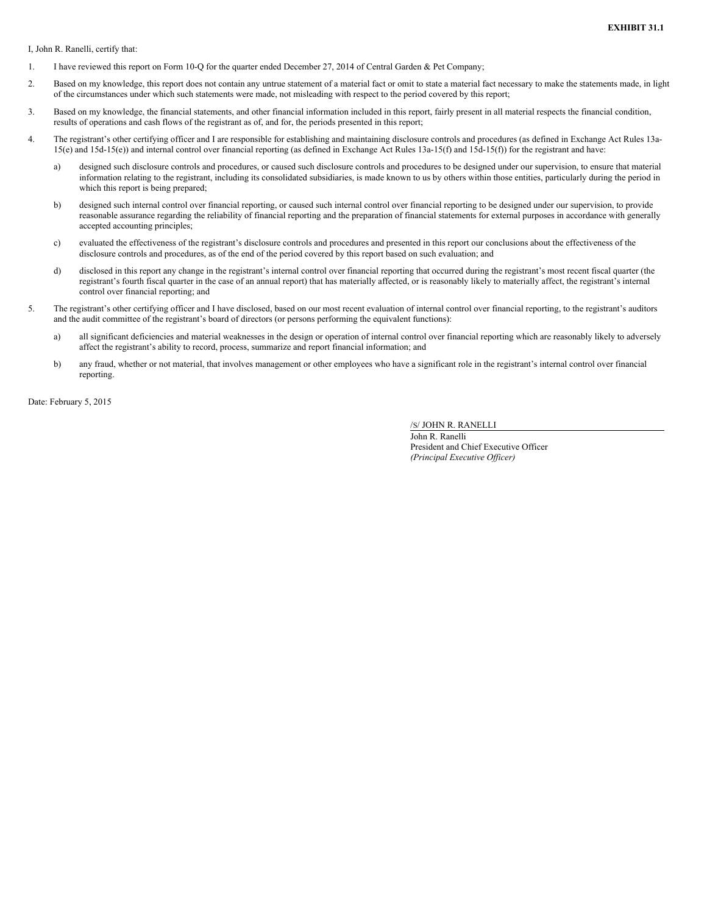I, John R. Ranelli, certify that:

- 1. I have reviewed this report on Form 10-Q for the quarter ended December 27, 2014 of Central Garden & Pet Company;
- 2. Based on my knowledge, this report does not contain any untrue statement of a material fact or omit to state a material fact necessary to make the statements made, in light of the circumstances under which such statements were made, not misleading with respect to the period covered by this report;
- 3. Based on my knowledge, the financial statements, and other financial information included in this report, fairly present in all material respects the financial condition, results of operations and cash flows of the registrant as of, and for, the periods presented in this report;
- 4. The registrant's other certifying officer and I are responsible for establishing and maintaining disclosure controls and procedures (as defined in Exchange Act Rules 13a- $15(e)$  and  $15d-15(e)$ ) and internal control over financial reporting (as defined in Exchange Act Rules  $13a-15(f)$  and  $15d-15(f)$ ) for the registrant and have:
	- a) designed such disclosure controls and procedures, or caused such disclosure controls and procedures to be designed under our supervision, to ensure that material information relating to the registrant, including its consolidated subsidiaries, is made known to us by others within those entities, particularly during the period in which this report is being prepared:
	- b) designed such internal control over financial reporting, or caused such internal control over financial reporting to be designed under our supervision, to provide reasonable assurance regarding the reliability of financial reporting and the preparation of financial statements for external purposes in accordance with generally accepted accounting principles;
	- c) evaluated the effectiveness of the registrant's disclosure controls and procedures and presented in this report our conclusions about the effectiveness of the disclosure controls and procedures, as of the end of the period covered by this report based on such evaluation; and
	- d) disclosed in this report any change in the registrant's internal control over financial reporting that occurred during the registrant's most recent fiscal quarter (the registrant's fourth fiscal quarter in the case of an annual report) that has materially affected, or is reasonably likely to materially affect, the registrant's internal control over financial reporting; and
- 5. The registrant's other certifying officer and I have disclosed, based on our most recent evaluation of internal control over financial reporting, to the registrant's auditors and the audit committee of the registrant's board of directors (or persons performing the equivalent functions):
	- a) all significant deficiencies and material weaknesses in the design or operation of internal control over financial reporting which are reasonably likely to adversely affect the registrant's ability to record, process, summarize and report financial information; and
	- b) any fraud, whether or not material, that involves management or other employees who have a significant role in the registrant's internal control over financial reporting.

Date: February 5, 2015

/S/ JOHN R. RANELLI

John R. Ranelli President and Chief Executive Officer *(Principal Executive Of icer)*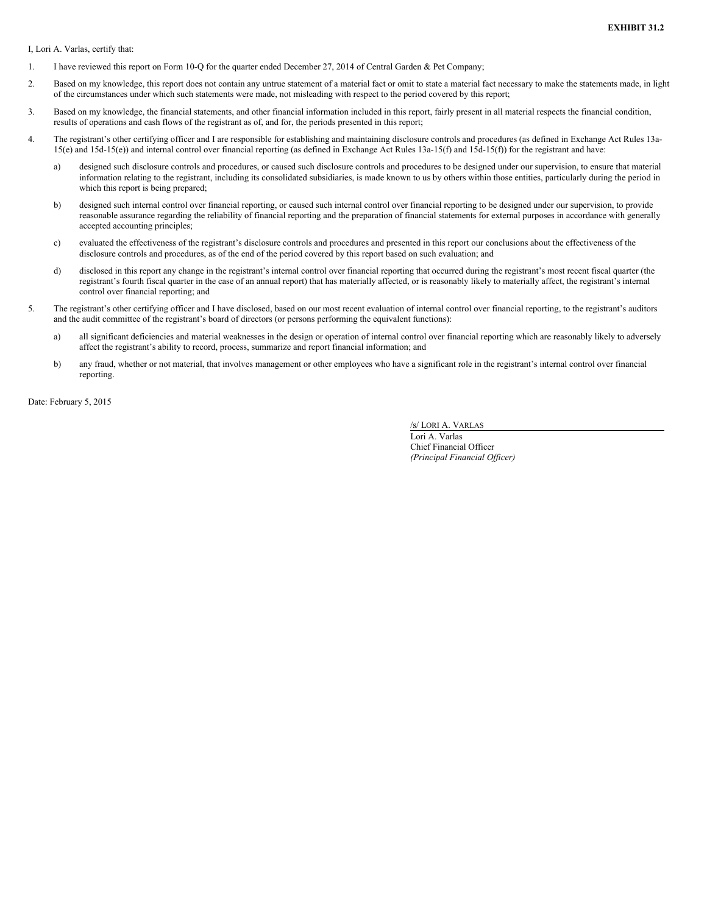I, Lori A. Varlas, certify that:

- 1. I have reviewed this report on Form 10-Q for the quarter ended December 27, 2014 of Central Garden & Pet Company;
- 2. Based on my knowledge, this report does not contain any untrue statement of a material fact or omit to state a material fact necessary to make the statements made, in light of the circumstances under which such statements were made, not misleading with respect to the period covered by this report;
- 3. Based on my knowledge, the financial statements, and other financial information included in this report, fairly present in all material respects the financial condition, results of operations and cash flows of the registrant as of, and for, the periods presented in this report;
- 4. The registrant's other certifying officer and I are responsible for establishing and maintaining disclosure controls and procedures (as defined in Exchange Act Rules 13a- $15(e)$  and  $15d-15(e)$ ) and internal control over financial reporting (as defined in Exchange Act Rules  $13a-15(f)$  and  $15d-15(f)$ ) for the registrant and have:
	- a) designed such disclosure controls and procedures, or caused such disclosure controls and procedures to be designed under our supervision, to ensure that material information relating to the registrant, including its consolidated subsidiaries, is made known to us by others within those entities, particularly during the period in which this report is being prepared:
	- b) designed such internal control over financial reporting, or caused such internal control over financial reporting to be designed under our supervision, to provide reasonable assurance regarding the reliability of financial reporting and the preparation of financial statements for external purposes in accordance with generally accepted accounting principles;
	- c) evaluated the effectiveness of the registrant's disclosure controls and procedures and presented in this report our conclusions about the effectiveness of the disclosure controls and procedures, as of the end of the period covered by this report based on such evaluation; and
	- d) disclosed in this report any change in the registrant's internal control over financial reporting that occurred during the registrant's most recent fiscal quarter (the registrant's fourth fiscal quarter in the case of an annual report) that has materially affected, or is reasonably likely to materially affect, the registrant's internal control over financial reporting; and
- 5. The registrant's other certifying officer and I have disclosed, based on our most recent evaluation of internal control over financial reporting, to the registrant's auditors and the audit committee of the registrant's board of directors (or persons performing the equivalent functions):
	- a) all significant deficiencies and material weaknesses in the design or operation of internal control over financial reporting which are reasonably likely to adversely affect the registrant's ability to record, process, summarize and report financial information; and
	- b) any fraud, whether or not material, that involves management or other employees who have a significant role in the registrant's internal control over financial reporting.

Date: February 5, 2015

/s/ LORI A. VARLAS

Lori A. Varlas Chief Financial Officer *(Principal Financial Of icer)*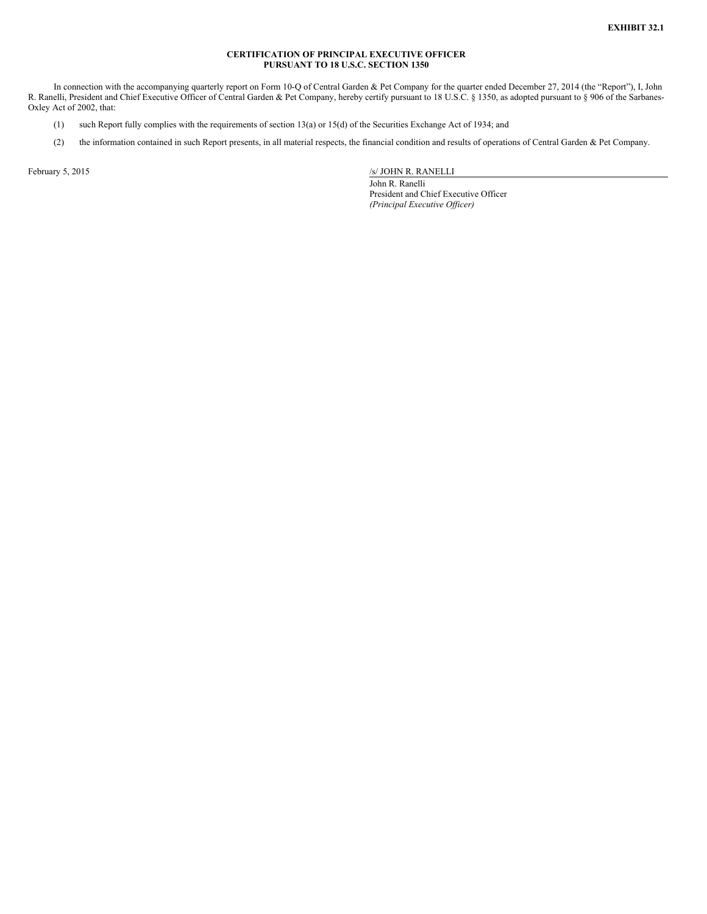#### **CERTIFICATION OF PRINCIPAL EXECUTIVE OFFICER PURSUANT TO 18 U.S.C. SECTION 1350**

In connection with the accompanying quarterly report on Form 10-Q of Central Garden & Pet Company for the quarter ended December 27, 2014 (the "Report"), I, John R. Ranelli, President and Chief Executive Officer of Central Garden & Pet Company, hereby certify pursuant to 18 U.S.C. § 1350, as adopted pursuant to § 906 of the Sarbanes-Oxley Act of 2002, that:

- (1) such Report fully complies with the requirements of section 13(a) or 15(d) of the Securities Exchange Act of 1934; and
- (2) the information contained in such Report presents, in all material respects, the financial condition and results of operations of Central Garden & Pet Company.

February 5, 2015 /s/ JOHN R. RANELLI

John R. Ranelli President and Chief Executive Officer *(Principal Executive Of icer)*